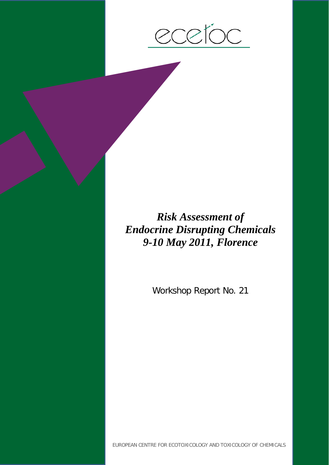$OC$  $C$ C

# *Risk Assessment of Endocrine Disrupting Chemicals 9-10 May 2011, Florence*

Workshop Report No. 21

EUROPEAN CENTRE FOR ECOTOXICOLOGY AND TOXICOLOGY OF CHEMICALS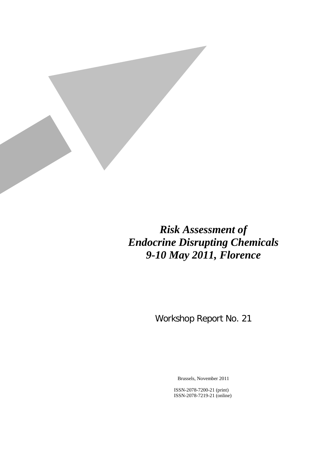

# *Risk Assessment of Endocrine Disrupting Chemicals 9-10 May 2011, Florence*

Workshop Report No. 21

Brussels, November 2011

ISSN-2078-7200-21 (print) ISSN-2078-7219-21 (online)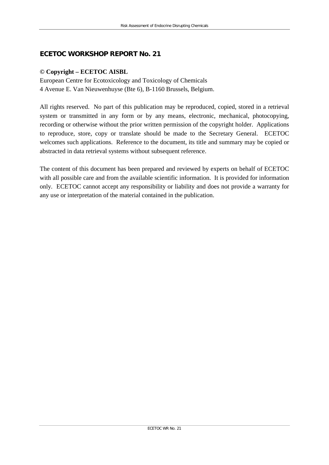# **ECETOC WORKSHOP REPORT No. 21**

# **© Copyright – ECETOC AISBL**

European Centre for Ecotoxicology and Toxicology of Chemicals 4 Avenue E. Van Nieuwenhuyse (Bte 6), B-1160 Brussels, Belgium.

All rights reserved. No part of this publication may be reproduced, copied, stored in a retrieval system or transmitted in any form or by any means, electronic, mechanical, photocopying, recording or otherwise without the prior written permission of the copyright holder. Applications to reproduce, store, copy or translate should be made to the Secretary General. ECETOC welcomes such applications. Reference to the document, its title and summary may be copied or abstracted in data retrieval systems without subsequent reference.

The content of this document has been prepared and reviewed by experts on behalf of ECETOC with all possible care and from the available scientific information. It is provided for information only. ECETOC cannot accept any responsibility or liability and does not provide a warranty for any use or interpretation of the material contained in the publication.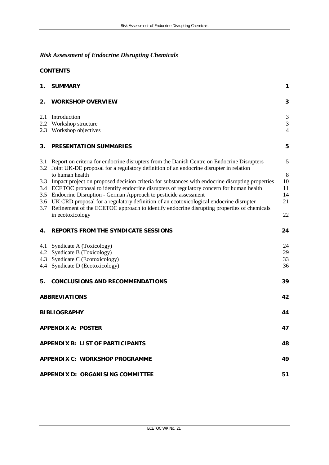# *Risk Assessment of Endocrine Disrupting Chemicals*

**CONTENTS**

| 1.                                            | <b>SUMMARY</b>                                                                                                                                                                               | 1                                |  |
|-----------------------------------------------|----------------------------------------------------------------------------------------------------------------------------------------------------------------------------------------------|----------------------------------|--|
| 2.                                            | <b>WORKSHOP OVERVIEW</b>                                                                                                                                                                     | 3                                |  |
| 2.1                                           | Introduction                                                                                                                                                                                 | 3                                |  |
| 2.2<br>2.3                                    | Workshop structure<br>Workshop objectives                                                                                                                                                    | $\mathfrak{Z}$<br>$\overline{4}$ |  |
| 3.                                            | <b>PRESENTATION SUMMARIES</b>                                                                                                                                                                | 5                                |  |
|                                               | 3.1 Report on criteria for endocrine disrupters from the Danish Centre on Endocrine Disrupters<br>3.2 Joint UK-DE proposal for a regulatory definition of an endocrine disrupter in relation | 5                                |  |
|                                               | to human health                                                                                                                                                                              | 8                                |  |
| 3.3                                           | Impact project on proposed decision criteria for substances with endocrine disrupting properties                                                                                             | 10                               |  |
|                                               | 3.4 ECETOC proposal to identify endocrine disrupters of regulatory concern for human health                                                                                                  | 11                               |  |
|                                               | 3.5 Endocrine Disruption - German Approach to pesticide assessment                                                                                                                           | 14                               |  |
| 3.7                                           | 3.6 UK CRD proposal for a regulatory definition of an ecotoxicological endocrine disrupter<br>Refinement of the ECETOC approach to identify endocrine disrupting properties of chemicals     | 21                               |  |
|                                               | in ecotoxicology                                                                                                                                                                             | 22                               |  |
| 4.                                            | <b>REPORTS FROM THE SYNDICATE SESSIONS</b>                                                                                                                                                   | 24                               |  |
| 4.1                                           | Syndicate A (Toxicology)                                                                                                                                                                     | 24                               |  |
| 4.2                                           | Syndicate B (Toxicology)                                                                                                                                                                     | 29                               |  |
| 4.3                                           | Syndicate C (Ecotoxicology)                                                                                                                                                                  | 33                               |  |
| 4.4                                           | Syndicate D (Ecotoxicology)                                                                                                                                                                  | 36                               |  |
| 5.                                            | <b>CONCLUSIONS AND RECOMMENDATIONS</b>                                                                                                                                                       | 39                               |  |
|                                               | <b>ABBREVIATIONS</b>                                                                                                                                                                         | 42                               |  |
| 44<br><b>BIBLIOGRAPHY</b>                     |                                                                                                                                                                                              |                                  |  |
|                                               | <b>APPENDIX A: POSTER</b>                                                                                                                                                                    | 47                               |  |
| <b>APPENDIX B: LIST OF PARTICIPANTS</b><br>48 |                                                                                                                                                                                              |                                  |  |
| <b>APPENDIX C: WORKSHOP PROGRAMME</b><br>49   |                                                                                                                                                                                              |                                  |  |
|                                               | <b>APPENDIX D: ORGANISING COMMITTEE</b><br>51                                                                                                                                                |                                  |  |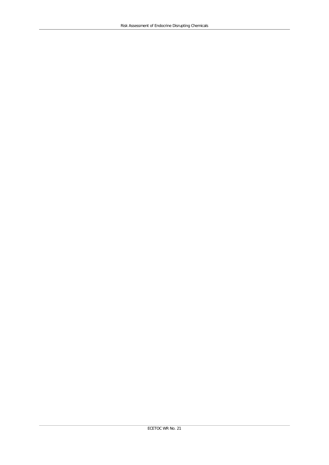Risk Assessment of Endocrine Disrupting Chemicals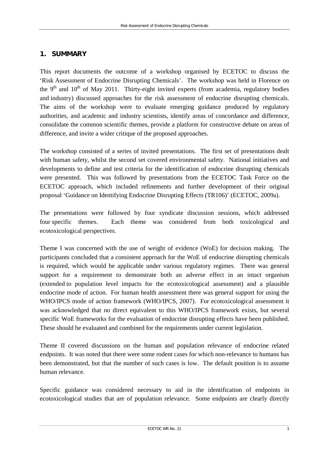# <span id="page-6-0"></span>**1. SUMMARY**

This report documents the outcome of a workshop organised by ECETOC to discuss the 'Risk Assessment of Endocrine Disrupting Chemicals'. The workshop was held in Florence on the  $9<sup>th</sup>$  and  $10<sup>th</sup>$  of May 2011. Thirty-eight invited experts (from academia, regulatory bodies and industry) discussed approaches for the risk assessment of endocrine disrupting chemicals. The aims of the workshop were to evaluate emerging guidance produced by regulatory authorities, and academic and industry scientists, identify areas of concordance and difference, consolidate the common scientific themes, provide a platform for constructive debate on areas of difference, and invite a wider critique of the proposed approaches.

The workshop consisted of a series of invited presentations. The first set of presentations dealt with human safety, whilst the second set covered environmental safety. National initiatives and developments to define and test criteria for the identification of endocrine disrupting chemicals were presented. This was followed by presentations from the ECETOC Task Force on the ECETOC approach, which included refinements and further development of their original proposal 'Guidance on Identifying Endocrine Disrupting Effects (TR106)' (ECETOC, 2009a).

The presentations were followed by four syndicate discussion sessions, which addressed four specific themes. Each theme was considered from both toxicological and ecotoxicological perspectives.

Theme I was concerned with the use of weight of evidence (WoE) for decision making. The participants concluded that a consistent approach for the WoE of endocrine disrupting chemicals is required, which would be applicable under various regulatory regimes. There was general support for a requirement to demonstrate both an adverse effect in an intact organism (extended to population level impacts for the ecotoxicological assessment) and a plausible endocrine mode of action. For human health assessment there was general support for using the WHO/IPCS mode of action framework (WHO/IPCS, 2007). For ecotoxicological assessment it was acknowledged that no direct equivalent to this WHO/IPCS framework exists, but several specific WoE frameworks for the evaluation of endocrine disrupting effects have been published. These should be evaluated and combined for the requirements under current legislation.

Theme II covered discussions on the human and population relevance of endocrine related endpoints. It was noted that there were some rodent cases for which non-relevance to humans has been demonstrated, but that the number of such cases is low. The default position is to assume human relevance.

Specific guidance was considered necessary to aid in the identification of endpoints in ecotoxicological studies that are of population relevance. Some endpoints are clearly directly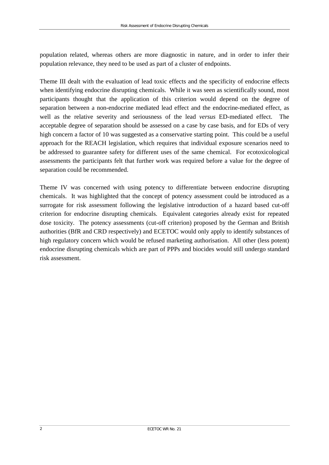population related, whereas others are more diagnostic in nature, and in order to infer their population relevance, they need to be used as part of a cluster of endpoints.

Theme III dealt with the evaluation of lead toxic effects and the specificity of endocrine effects when identifying endocrine disrupting chemicals. While it was seen as scientifically sound, most participants thought that the application of this criterion would depend on the degree of separation between a non-endocrine mediated lead effect and the endocrine-mediated effect, as well as the relative severity and seriousness of the lead *versus* ED-mediated effect. The acceptable degree of separation should be assessed on a case by case basis, and for EDs of very high concern a factor of 10 was suggested as a conservative starting point. This could be a useful approach for the REACH legislation, which requires that individual exposure scenarios need to be addressed to guarantee safety for different uses of the same chemical. For ecotoxicological assessments the participants felt that further work was required before a value for the degree of separation could be recommended.

Theme IV was concerned with using potency to differentiate between endocrine disrupting chemicals. It was highlighted that the concept of potency assessment could be introduced as a surrogate for risk assessment following the legislative introduction of a hazard based cut-off criterion for endocrine disrupting chemicals. Equivalent categories already exist for repeated dose toxicity. The potency assessments (cut-off criterion) proposed by the German and British authorities (BfR and CRD respectively) and ECETOC would only apply to identify substances of high regulatory concern which would be refused marketing authorisation. All other (less potent) endocrine disrupting chemicals which are part of PPPs and biocides would still undergo standard risk assessment.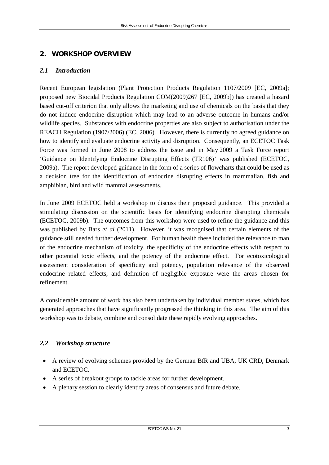# <span id="page-8-0"></span>**2. WORKSHOP OVERVIEW**

# <span id="page-8-1"></span>*2.1 Introduction*

Recent European legislation (Plant Protection Products Regulation 1107/2009 [EC, 2009a]; proposed new Biocidal Products Regulation COM(2009)267 [EC, 2009b]) has created a hazard based cut-off criterion that only allows the marketing and use of chemicals on the basis that they do not induce endocrine disruption which may lead to an adverse outcome in humans and/or wildlife species. Substances with endocrine properties are also subject to authorisation under the REACH Regulation (1907/2006) (EC, 2006). However, there is currently no agreed guidance on how to identify and evaluate endocrine activity and disruption. Consequently, an ECETOC Task Force was formed in June 2008 to address the issue and in May 2009 a Task Force report 'Guidance on Identifying Endocrine Disrupting Effects (TR106)' was published (ECETOC, 2009a). The report developed guidance in the form of a series of flowcharts that could be used as a decision tree for the identification of endocrine disrupting effects in mammalian, fish and amphibian, bird and wild mammal assessments.

In June 2009 ECETOC held a workshop to discuss their proposed guidance. This provided a stimulating discussion on the scientific basis for identifying endocrine disrupting chemicals (ECETOC, 2009b). The outcomes from this workshop were used to refine the guidance and this was published by Bars *et al* (2011). However, it was recognised that certain elements of the guidance still needed further development. For human health these included the relevance to man of the endocrine mechanism of toxicity, the specificity of the endocrine effects with respect to other potential toxic effects, and the potency of the endocrine effect. For ecotoxicological assessment consideration of specificity and potency, population relevance of the observed endocrine related effects, and definition of negligible exposure were the areas chosen for refinement.

A considerable amount of work has also been undertaken by individual member states, which has generated approaches that have significantly progressed the thinking in this area. The aim of this workshop was to debate, combine and consolidate these rapidly evolving approaches.

# <span id="page-8-2"></span>*2.2 Workshop structure*

- A review of evolving schemes provided by the German BfR and UBA, UK CRD, Denmark and ECETOC.
- A series of breakout groups to tackle areas for further development.
- A plenary session to clearly identify areas of consensus and future debate.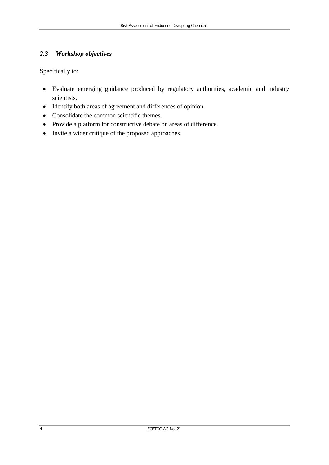# <span id="page-9-0"></span>*2.3 Workshop objectives*

Specifically to:

- Evaluate emerging guidance produced by regulatory authorities, academic and industry scientists.
- Identify both areas of agreement and differences of opinion.
- Consolidate the common scientific themes.
- Provide a platform for constructive debate on areas of difference.
- Invite a wider critique of the proposed approaches.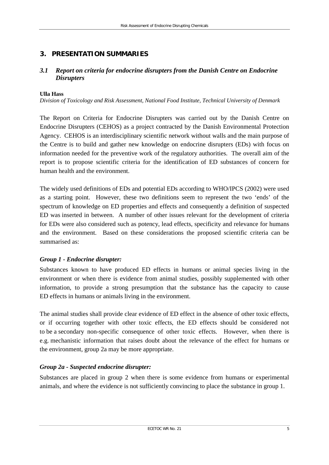# <span id="page-10-0"></span>**3. PRESENTATION SUMMARIES**

# <span id="page-10-1"></span>*3.1 Report on criteria for endocrine disrupters from the Danish Centre on Endocrine Disrupters*

# **Ulla Hass**

*Division of Toxicology and Risk Assessment, National Food Institute, Technical University of Denmark*

The Report on Criteria for Endocrine Disrupters was carried out by the Danish Centre on Endocrine Disrupters (CEHOS) as a project contracted by the Danish Environmental Protection Agency. CEHOS is an interdisciplinary scientific network without walls and the main purpose of the Centre is to build and gather new knowledge on endocrine disrupters (EDs) with focus on information needed for the preventive work of the regulatory authorities. The overall aim of the report is to propose scientific criteria for the identification of ED substances of concern for human health and the environment.

The widely used definitions of EDs and potential EDs according to WHO/IPCS (2002) were used as a starting point. However, these two definitions seem to represent the two 'ends' of the spectrum of knowledge on ED properties and effects and consequently a definition of suspected ED was inserted in between. A number of other issues relevant for the development of criteria for EDs were also considered such as potency, lead effects, specificity and relevance for humans and the environment. Based on these considerations the proposed scientific criteria can be summarised as:

# *Group 1 - Endocrine disrupter:*

Substances known to have produced ED effects in humans or animal species living in the environment or when there is evidence from animal studies, possibly supplemented with other information, to provide a strong presumption that the substance has the capacity to cause ED effects in humans or animals living in the environment.

The animal studies shall provide clear evidence of ED effect in the absence of other toxic effects, or if occurring together with other toxic effects, the ED effects should be considered not to be a secondary non-specific consequence of other toxic effects. However, when there is e.g. mechanistic information that raises doubt about the relevance of the effect for humans or the environment, group 2a may be more appropriate.

# *Group 2a - Suspected endocrine disrupter:*

Substances are placed in group 2 when there is some evidence from humans or experimental animals, and where the evidence is not sufficiently convincing to place the substance in group 1.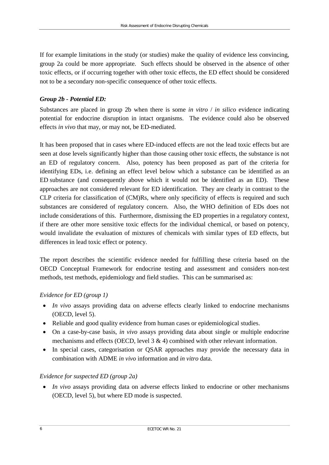If for example limitations in the study (or studies) make the quality of evidence less convincing, group 2a could be more appropriate. Such effects should be observed in the absence of other toxic effects, or if occurring together with other toxic effects, the ED effect should be considered not to be a secondary non-specific consequence of other toxic effects.

# *Group 2b - Potential ED:*

Substances are placed in group 2b when there is some *in vitro* / *in silico* evidence indicating potential for endocrine disruption in intact organisms. The evidence could also be observed effects *in vivo* that may, or may not, be ED-mediated.

It has been proposed that in cases where ED-induced effects are not the lead toxic effects but are seen at dose levels significantly higher than those causing other toxic effects, the substance is not an ED of regulatory concern. Also, potency has been proposed as part of the criteria for identifying EDs, i.e. defining an effect level below which a substance can be identified as an ED substance (and consequently above which it would not be identified as an ED). These approaches are not considered relevant for ED identification. They are clearly in contrast to the CLP criteria for classification of (CM)Rs, where only specificity of effects is required and such substances are considered of regulatory concern. Also, the WHO definition of EDs does not include considerations of this. Furthermore, dismissing the ED properties in a regulatory context, if there are other more sensitive toxic effects for the individual chemical, or based on potency, would invalidate the evaluation of mixtures of chemicals with similar types of ED effects, but differences in lead toxic effect or potency.

The report describes the scientific evidence needed for fulfilling these criteria based on the OECD Conceptual Framework for endocrine testing and assessment and considers non-test methods, test methods, epidemiology and field studies. This can be summarised as:

# *Evidence for ED (group 1)*

- *In vivo* assays providing data on adverse effects clearly linked to endocrine mechanisms (OECD, level 5).
- Reliable and good quality evidence from human cases or epidemiological studies.
- On a case-by-case basis, *in vivo* assays providing data about single or multiple endocrine mechanisms and effects (OECD, level  $3 \& 4$ ) combined with other relevant information.
- In special cases, categorisation or QSAR approaches may provide the necessary data in combination with ADME *in vivo* information and *in vitro* data.

# *Evidence for suspected ED (group 2a)*

• *In vivo* assays providing data on adverse effects linked to endocrine or other mechanisms (OECD, level 5), but where ED mode is suspected.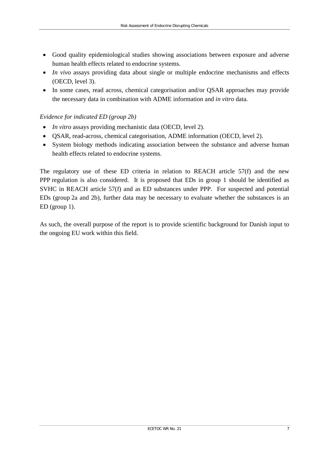- Good quality epidemiological studies showing associations between exposure and adverse human health effects related to endocrine systems.
- *In vivo* assays providing data about single or multiple endocrine mechanisms and effects (OECD, level 3).
- In some cases, read across, chemical categorisation and/or QSAR approaches may provide the necessary data in combination with ADME information and *in vitro* data.

# *Evidence for indicated ED (group 2b)*

- *In vitro* assays providing mechanistic data (OECD, level 2).
- QSAR, read-across, chemical categorisation, ADME information (OECD, level 2).
- System biology methods indicating association between the substance and adverse human health effects related to endocrine systems.

The regulatory use of these ED criteria in relation to REACH article 57(f) and the new PPP regulation is also considered. It is proposed that EDs in group 1 should be identified as SVHC in REACH article 57(f) and as ED substances under PPP. For suspected and potential EDs (group 2a and 2b), further data may be necessary to evaluate whether the substances is an ED (group 1).

As such, the overall purpose of the report is to provide scientific background for Danish input to the ongoing EU work within this field.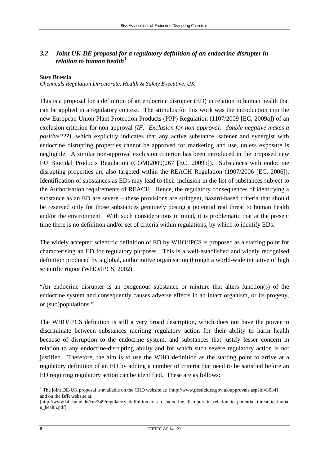# <span id="page-13-0"></span>*3.2 Joint UK-DE proposal for a regulatory definition of an endocrine disrupter in relation to human health*

#### **Susy Brescia**

*Chemicals Regulation Directorate, Health & Safety Executive, UK*

This is a proposal for a definition of an endocrine disrupter (ED) in relation to human health that can be applied in a regulatory context. The stimulus for this work was the introduction into the new European Union Plant Protection Products (PPP) Regulation (1107/2009 [EC, 2009a]) of an exclusion criterion for non-approval *(IF: Exclusion for non-approval: double negative makes a positive???)*, which explicitly indicates that any active substance, safener and synergist with endocrine disrupting properties cannot be approved for marketing and use, unless exposure is negligible. A similar non-approval exclusion criterion has been introduced in the proposed new EU Biocidal Products Regulation (COM(2009)267 [EC, 2009b]). Substances with endocrine disrupting properties are also targeted within the REACH Regulation (1907/2006 [EC, 2006]). Identification of substances as EDs may lead to their inclusion in the list of substances subject to the Authorisation requirements of REACH. Hence, the regulatory consequences of identifying a substance as an ED are severe – these provisions are stringent, hazard-based criteria that should be reserved only for those substances genuinely posing a potential real threat to human health and/or the environment. With such considerations in mind, it is problematic that at the present time there is no definition and/or set of criteria within regulations, by which to identify EDs.

The widely accepted scientific definition of ED by WHO/IPCS is proposed as a starting point for characterising an ED for regulatory purposes. This is a well-established and widely recognised definition produced by a global, authoritative organisation through a world-wide initiative of high scientific rigour (WHO/IPCS, 2002):

"An endocrine disrupter is an exogenous substance or mixture that alters function(s) of the endocrine system and consequently causes adverse effects in an intact organism, or its progeny, or (sub)populations."

The WHO/IPCS definition is still a very broad description, which does not have the power to discriminate between substances meriting regulatory action for their ability to harm health because of disruption to the endocrine system, and substances that justify lesser concern in relation to any endocrine-disrupting ability and for which such severe regulatory action is not justified. Therefore, the aim is to use the WHO definition as the starting point to arrive at a regulatory definition of an ED by adding a number of criteria that need to be satisfied before an ED requiring regulatory action can be identified. These are as follows:

<span id="page-13-1"></span><sup>&</sup>lt;sup>1</sup> The joint DE-UK proposal is available on the CRD website at: [http://www.pesticides.gov.uk/approvals.asp?id=3034] and on the BfR website at:

<sup>[</sup>http://www.bfr.bund.de/cm/349/regulatory\_definition\_of\_an\_endocrine\_disrupter\_in\_relation\_to\_potential\_threat\_to\_huma n\_health.pdf].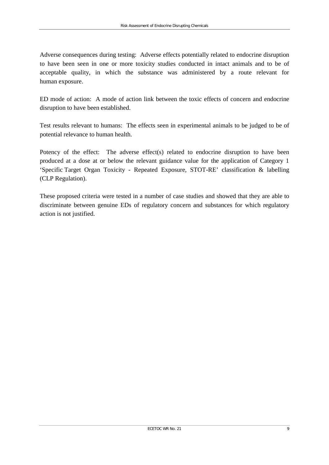Adverse consequences during testing: Adverse effects potentially related to endocrine disruption to have been seen in one or more toxicity studies conducted in intact animals and to be of acceptable quality, in which the substance was administered by a route relevant for human exposure.

ED mode of action: A mode of action link between the toxic effects of concern and endocrine disruption to have been established.

Test results relevant to humans: The effects seen in experimental animals to be judged to be of potential relevance to human health.

Potency of the effect: The adverse effect(s) related to endocrine disruption to have been produced at a dose at or below the relevant guidance value for the application of Category 1 'Specific Target Organ Toxicity - Repeated Exposure, STOT-RE' classification & labelling (CLP Regulation).

These proposed criteria were tested in a number of case studies and showed that they are able to discriminate between genuine EDs of regulatory concern and substances for which regulatory action is not justified.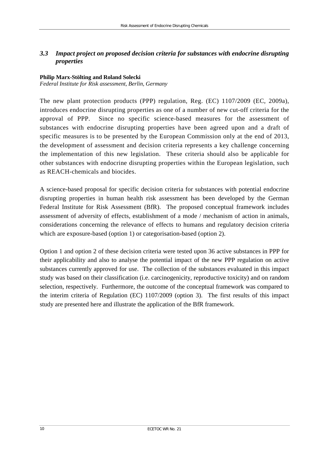# <span id="page-15-0"></span>*3.3 Impact project on proposed decision criteria for substances with endocrine disrupting properties*

# **Philip Marx-Stölting and Roland Solecki**

*Federal Institute for Risk assessment, Berlin, Germany*

The new plant protection products (PPP) regulation, Reg. (EC) 1107/2009 (EC, 2009a), introduces endocrine disrupting properties as one of a number of new cut-off criteria for the approval of PPP. Since no specific science-based measures for the assessment of substances with endocrine disrupting properties have been agreed upon and a draft of specific measures is to be presented by the European Commission only at the end of 2013, the development of assessment and decision criteria represents a key challenge concerning the implementation of this new legislation. These criteria should also be applicable for other substances with endocrine disrupting properties within the European legislation, such as REACH-chemicals and biocides.

A science-based proposal for specific decision criteria for substances with potential endocrine disrupting properties in human health risk assessment has been developed by the German Federal Institute for Risk Assessment (BfR). The proposed conceptual framework includes assessment of adversity of effects, establishment of a mode / mechanism of action in animals, considerations concerning the relevance of effects to humans and regulatory decision criteria which are exposure-based (option 1) or categorisation-based (option 2).

Option 1 and option 2 of these decision criteria were tested upon 36 active substances in PPP for their applicability and also to analyse the potential impact of the new PPP regulation on active substances currently approved for use. The collection of the substances evaluated in this impact study was based on their classification (i.e. carcinogenicity, reproductive toxicity) and on random selection, respectively. Furthermore, the outcome of the conceptual framework was compared to the interim criteria of Regulation (EC) 1107/2009 (option 3). The first results of this impact study are presented here and illustrate the application of the BfR framework.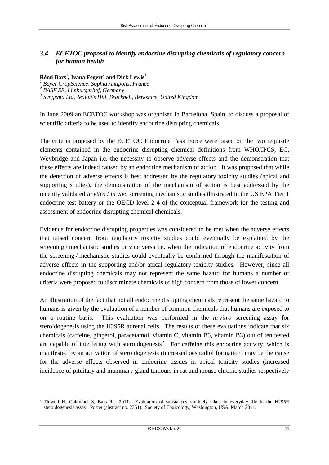# <span id="page-16-0"></span>*3.4 ECETOC proposal to identify endocrine disrupting chemicals of regulatory concern for human health*

# $R$ émi Bars<sup>1</sup>, Ivana Fegert<sup>2</sup> and Dick Lewis<sup>3</sup>

*<sup>1</sup> Bayer CropScience, Sophia Antipolis, France*

*<sup>2</sup> BASF SE, Limburgerhof, Germany*

*<sup>3</sup> Syngenta Ltd, Jealott's Hill, Bracknell, Berkshire, United Kingdom*

In June 2009 an ECETOC workshop was organised in Barcelona, Spain, to discuss a proposal of scientific criteria to be used to identify endocrine disrupting chemicals.

The criteria proposed by the ECETOC Endocrine Task Force were based on the two requisite elements contained in the endocrine disrupting chemical definitions from WHO/IPCS, EC, Weybridge and Japan i.e. the necessity to observe adverse effects and the demonstration that these effects are indeed caused by an endocrine mechanism of action. It was proposed that while the detection of adverse effects is best addressed by the regulatory toxicity studies (apical and supporting studies), the demonstration of the mechanism of action is best addressed by the recently validated *in vitro* / *in vivo* screening mechanistic studies illustrated in the US EPA Tier 1 endocrine test battery or the OECD level 2-4 of the conceptual framework for the testing and assessment of endocrine disrupting chemical chemicals.

Evidence for endocrine disrupting properties was considered to be met when the adverse effects that raised concern from regulatory toxicity studies could eventually be explained by the screening / mechanistic studies or vice versa i.e. when the indication of endocrine activity from the screening / mechanistic studies could eventually be confirmed through the manifestation of adverse effects in the supporting and/or apical regulatory toxicity studies. However, since all endocrine disrupting chemicals may not represent the same hazard for humans a number of criteria were proposed to discriminate chemicals of high concern from those of lower concern.

An illustration of the fact that not all endocrine disrupting chemicals represent the same hazard to humans is given by the evaluation of a number of common chemicals that humans are exposed to on a routine basis. This evaluation was performed in the *in vitro* screening assay for steroidogenesis using the H295R adrenal cells. The results of these evaluations indicate that six chemicals (caffeine, gingerol, paracetamol, vitamin C, vitamin B6, vitamin B3) out of ten tested are capable of interfering with steroidogenesis<sup>[2](#page-16-1)</sup>. For caffeine this endocrine activity, which is manifested by an activation of steroidogenesis (increased oestradiol formation) may be the cause for the adverse effects observed in endocrine tissues in apical toxicity studies (increased incidence of pituitary and mammary gland tumours in rat and mouse chronic studies respectively

<span id="page-16-1"></span><sup>&</sup>lt;sup>2</sup> Tinwell H. Colombel S. Bars R. 2011. Evaluation of substances routinely taken in everyday life in the H295R steroidogenesis assay. Poster (abstract no. 2351). Society of Toxicology, Washington, USA, March 2011.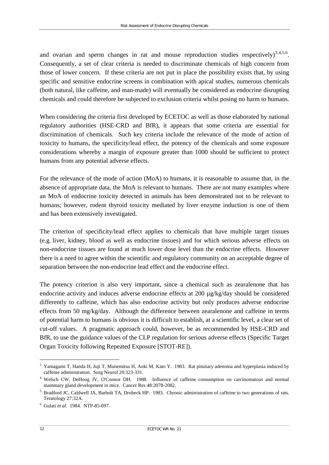and ovarian and sperm changes in rat and mouse reproduction studies respectively)<sup>[3](#page-17-0),[4](#page-17-1),[5](#page-17-2),[6](#page-17-3)</sup>. Consequently, a set of clear criteria is needed to discriminate chemicals of high concern from those of lower concern. If these criteria are not put in place the possibility exists that, by using specific and sensitive endocrine screens in combination with apical studies, numerous chemicals (both natural, like caffeine, and man-made) will eventually be considered as endocrine disrupting chemicals and could therefore be subjected to exclusion criteria whilst posing no harm to humans.

When considering the criteria first developed by ECETOC as well as those elaborated by national regulatory authorities (HSE-CRD and BfR), it appears that some criteria are essential for discrimination of chemicals. Such key criteria include the relevance of the mode of action of toxicity to humans, the specificity/lead effect, the potency of the chemicals and some exposure considerations whereby a margin of exposure greater than 1000 should be sufficient to protect humans from any potential adverse effects.

For the relevance of the mode of action (MoA) to humans, it is reasonable to assume that, in the absence of appropriate data, the MoA is relevant to humans. There are not many examples where an MoA of endocrine toxicity detected in animals has been demonstrated not to be relevant to humans; however, rodent thyroid toxicity mediated by liver enzyme induction is one of them and has been extensively investigated.

The criterion of specificity/lead effect applies to chemicals that have multiple target tissues (e.g. liver, kidney, blood as well as endocrine tissues) and for which serious adverse effects on non-endocrine tissues are found at much lower dose level than the endocrine effects. However there is a need to agree within the scientific and regulatory community on an acceptable degree of separation between the non-endocrine lead effect and the endocrine effect.

The potency criterion is also very important, since a chemical such as zearalenone that has endocrine activity and induces adverse endocrine effects at 200 µg/kg/day should be considered differently to caffeine, which has also endocrine activity but only produces adverse endocrine effects from 50 mg/kg/day. Although the difference between zearalenone and caffeine in terms of potential harm to humans is obvious it is difficult to establish, at a scientific level, a clear set of cut-off values. A pragmatic approach could, however, be as recommended by HSE-CRD and BfR, to use the guidance values of the CLP regulation for serious adverse effects (Specific Target Organ Toxicity following Repeated Exposure [STOT-RE]).

<span id="page-17-0"></span><sup>&</sup>lt;sup>3</sup> Yamagami T, Handa H, Juji T, Munemitsu H, Aoki M, Kato Y. 1983. Rat pituitary adenoma and hyperplasia induced by caffeine administration. Surg Neurol 20:323-331.

<span id="page-17-1"></span><sup>4</sup> Welsch CW, DeHoog JV, O'Connor DH. 1988. Influence of caffeine consumption on carcinomatous and normal mammary gland development in mice. Cancer Res 48:2078-2082.

<span id="page-17-2"></span><sup>5</sup> Bradford JC, Caldwell JA, Barbolt TA, Drobeck HP. 1983. Chronic administration of caffeine to two generations of rats. Teratology 27:32A.

<span id="page-17-3"></span><sup>6</sup> Gulati *et al*. 1984. NTP-85-097.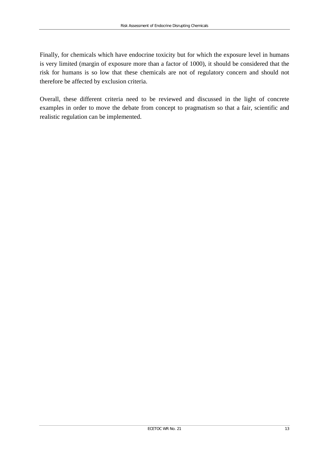Finally, for chemicals which have endocrine toxicity but for which the exposure level in humans is very limited (margin of exposure more than a factor of 1000), it should be considered that the risk for humans is so low that these chemicals are not of regulatory concern and should not therefore be affected by exclusion criteria.

Overall, these different criteria need to be reviewed and discussed in the light of concrete examples in order to move the debate from concept to pragmatism so that a fair, scientific and realistic regulation can be implemented.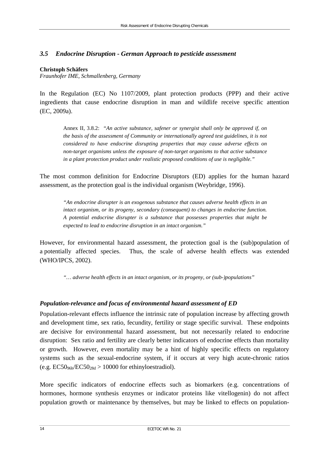# <span id="page-19-0"></span>*3.5 Endocrine Disruption - German Approach to pesticide assessment*

#### **Christoph Schäfers**

*Fraunhofer IME, Schmallenberg, Germany*

In the Regulation (EC) No 1107/2009, plant protection products (PPP) and their active ingredients that cause endocrine disruption in man and wildlife receive specific attention (EC, 2009a).

Annex II, 3.8.2: *"An active substance, safener or synergist shall only be approved if, on the basis of the assessment of Community or internationally agreed test guidelines, it is not considered to have endocrine disrupting properties that may cause adverse effects on non-target organisms unless the exposure of non-target organisms to that active substance in a plant protection product under realistic proposed conditions of use is negligible."*

The most common definition for Endocrine Disruptors (ED) applies for the human hazard assessment, as the protection goal is the individual organism (Weybridge, 1996).

*"An endocrine disrupter is an exogenous substance that causes adverse health effects in an intact organism, or its progeny, secondary (consequent) to changes in endocrine function. A potential endocrine disrupter is a substance that possesses properties that might be expected to lead to endocrine disruption in an intact organism."*

However, for environmental hazard assessment, the protection goal is the (sub)population of a potentially affected species. Thus, the scale of adverse health effects was extended (WHO/IPCS, 2002).

*"… adverse health effects in an intact organism, or its progeny, or (sub-)populations"*

# *Population-relevance and focus of environmental hazard assessment of ED*

Population-relevant effects influence the intrinsic rate of population increase by affecting growth and development time, sex ratio, fecundity, fertility or stage specific survival. These endpoints are decisive for environmental hazard assessment, but not necessarily related to endocrine disruption: Sex ratio and fertility are clearly better indicators of endocrine effects than mortality or growth. However, even mortality may be a hint of highly specific effects on regulatory systems such as the sexual-endocrine system, if it occurs at very high acute-chronic ratios (e.g.  $EC50<sub>96h</sub>/EC50<sub>28d</sub> > 10000$  for ethinyloestradiol).

More specific indicators of endocrine effects such as biomarkers (e.g. concentrations of hormones, hormone synthesis enzymes or indicator proteins like vitellogenin) do not affect population growth or maintenance by themselves, but may be linked to effects on population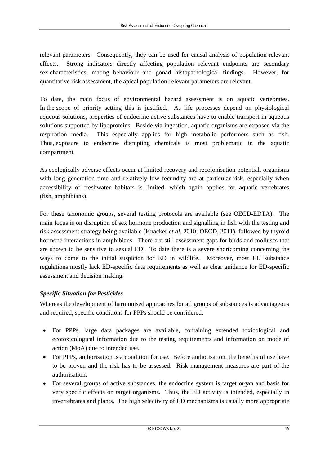relevant parameters. Consequently, they can be used for causal analysis of population-relevant effects. Strong indicators directly affecting population relevant endpoints are secondary sex characteristics, mating behaviour and gonad histopathological findings. However, for quantitative risk assessment, the apical population-relevant parameters are relevant.

To date, the main focus of environmental hazard assessment is on aquatic vertebrates. In the scope of priority setting this is justified. As life processes depend on physiological aqueous solutions, properties of endocrine active substances have to enable transport in aqueous solutions supported by lipoproteins. Beside via ingestion, aquatic organisms are exposed via the respiration media. This especially applies for high metabolic performers such as fish. Thus, exposure to endocrine disrupting chemicals is most problematic in the aquatic compartment.

As ecologically adverse effects occur at limited recovery and recolonisation potential, organisms with long generation time and relatively low fecundity are at particular risk, especially when accessibility of freshwater habitats is limited, which again applies for aquatic vertebrates (fish, amphibians).

For these taxonomic groups, several testing protocols are available (see OECD-EDTA). The main focus is on disruption of sex hormone production and signalling in fish with the testing and risk assessment strategy being available (Knacker *et al*, 2010; OECD, 2011), followed by thyroid hormone interactions in amphibians. There are still assessment gaps for birds and molluscs that are shown to be sensitive to sexual ED. To date there is a severe shortcoming concerning the ways to come to the initial suspicion for ED in wildlife. Moreover, most EU substance regulations mostly lack ED-specific data requirements as well as clear guidance for ED-specific assessment and decision making.

# *Specific Situation for Pesticides*

Whereas the development of harmonised approaches for all groups of substances is advantageous and required, specific conditions for PPPs should be considered:

- For PPPs, large data packages are available, containing extended toxicological and ecotoxicological information due to the testing requirements and information on mode of action (MoA) due to intended use.
- For PPPs, authorisation is a condition for use. Before authorisation, the benefits of use have to be proven and the risk has to be assessed. Risk management measures are part of the authorisation.
- For several groups of active substances, the endocrine system is target organ and basis for very specific effects on target organisms. Thus, the ED activity is intended, especially in invertebrates and plants. The high selectivity of ED mechanisms is usually more appropriate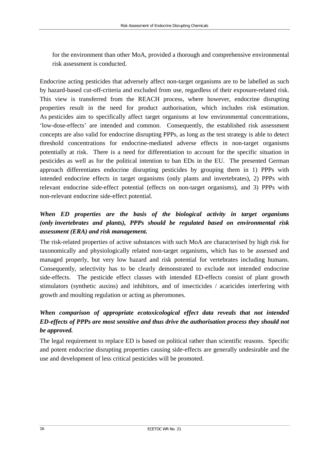for the environment than other MoA, provided a thorough and comprehensive environmental risk assessment is conducted.

Endocrine acting pesticides that adversely affect non-target organisms are to be labelled as such by hazard-based cut-off-criteria and excluded from use, regardless of their exposure-related risk. This view is transferred from the REACH process, where however, endocrine disrupting properties result in the need for product authorisation, which includes risk estimation. As pesticides aim to specifically affect target organisms at low environmental concentrations, 'low-dose-effects' are intended and common. Consequently, the established risk assessment concepts are also valid for endocrine disrupting PPPs, as long as the test strategy is able to detect threshold concentrations for endocrine-mediated adverse effects in non-target organisms potentially at risk. There is a need for differentiation to account for the specific situation in pesticides as well as for the political intention to ban EDs in the EU. The presented German approach differentiates endocrine disrupting pesticides by grouping them in 1) PPPs with intended endocrine effects in target organisms (only plants and invertebrates), 2) PPPs with relevant endocrine side-effect potential (effects on non-target organisms), and 3) PPPs with non-relevant endocrine side-effect potential.

# *When ED properties are the basis of the biological activity in target organisms (only invertebrates and plants), PPPs should be regulated based on environmental risk assessment (ERA) and risk management.*

The risk-related properties of active substances with such MoA are characterised by high risk for taxonomically and physiologically related non-target organisms, which has to be assessed and managed properly, but very low hazard and risk potential for vertebrates including humans. Consequently, selectivity has to be clearly demonstrated to exclude not intended endocrine side-effects. The pesticide effect classes with intended ED-effects consist of plant growth stimulators (synthetic auxins) and inhibitors, and of insecticides / acaricides interfering with growth and moulting regulation or acting as pheromones.

# *When comparison of appropriate ecotoxicological effect data reveals that not intended ED-effects of PPPs are most sensitive and thus drive the authorisation process they should not be approved.*

The legal requirement to replace ED is based on political rather than scientific reasons. Specific and potent endocrine disrupting properties causing side-effects are generally undesirable and the use and development of less critical pesticides will be promoted.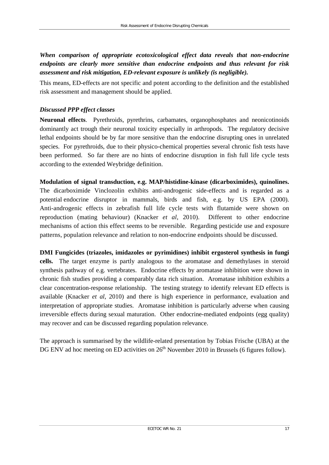*When comparison of appropriate ecotoxicological effect data reveals that non-endocrine endpoints are clearly more sensitive than endocrine endpoints and thus relevant for risk assessment and risk mitigation, ED-relevant exposure is unlikely (is negligible).* 

This means, ED-effects are not specific and potent according to the definition and the established risk assessment and management should be applied.

# *Discussed PPP effect classes*

**Neuronal effects**. Pyrethroids, pyrethrins, carbamates, organophosphates and neonicotinoids dominantly act trough their neuronal toxicity especially in arthropods. The regulatory decisive lethal endpoints should be by far more sensitive than the endocrine disrupting ones in unrelated species. For pyrethroids, due to their physico-chemical properties several chronic fish tests have been performed. So far there are no hints of endocrine disruption in fish full life cycle tests according to the extended Weybridge definition.

**Modulation of signal transduction, e.g. MAP/histidine-kinase (dicarboximides), quinolines.** The dicarboximide Vinclozolin exhibits anti-androgenic side-effects and is regarded as a potential endocrine disruptor in mammals, birds and fish, e.g. by US EPA (2000). Anti-androgenic effects in zebrafish full life cycle tests with flutamide were shown on reproduction (mating behaviour) (Knacker *et al*, 2010). Different to other endocrine mechanisms of action this effect seems to be reversible. Regarding pesticide use and exposure patterns, population relevance and relation to non-endocrine endpoints should be discussed.

**DMI Fungicides (triazoles, imidazoles or pyrimidines) inhibit ergosterol synthesis in fungi cells.** The target enzyme is partly analogous to the aromatase and demethylases in steroid synthesis pathway of e.g. vertebrates. Endocrine effects by aromatase inhibition were shown in chronic fish studies providing a comparably data rich situation. Aromatase inhibition exhibits a clear concentration-response relationship. The testing strategy to identify relevant ED effects is available (Knacker *et al*, 2010) and there is high experience in performance, evaluation and interpretation of appropriate studies. Aromatase inhibition is particularly adverse when causing irreversible effects during sexual maturation. Other endocrine-mediated endpoints (egg quality) may recover and can be discussed regarding population relevance.

The approach is summarised by the wildlife-related presentation by Tobias Frische (UBA) at the DG ENV ad hoc meeting on ED activities on  $26<sup>th</sup>$  November 2010 in Brussels (6 figures follow).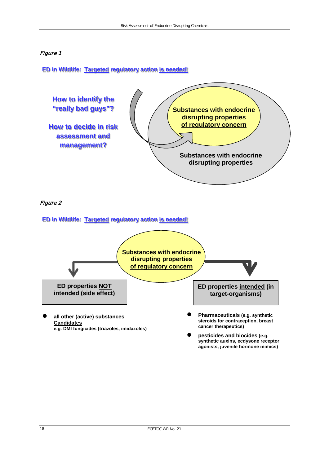# Figure 1

**ED in Wildlife: Targeted regulatory action is needed!**

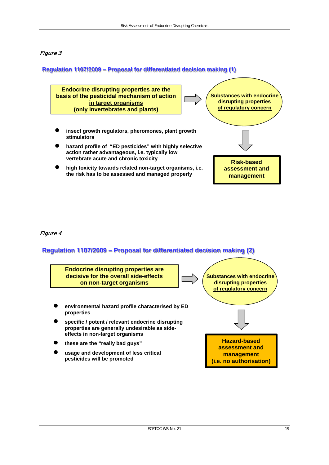# Figure 3

# **Regulation 1107/2009 – Proposal for differentiated decision making (1)**



### Figure 4

### **Regulation 1107/2009 – Proposal for differentiated decision making (2)**



● **usage and development of less critical pesticides will be promoted** 

**(i.e. no authorisation)**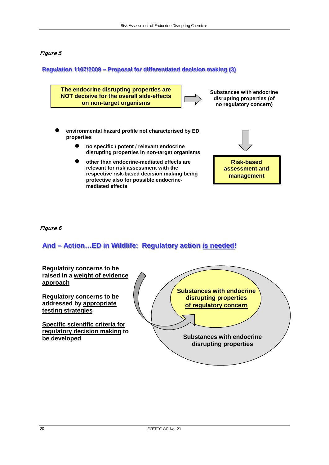# Figure 5

#### **Regulation 1107/2009 – Proposal for differentiated decision making (3)**

**The endocrine disrupting properties are NOT decisive for the overall side-effects on non-target organisms**

**Substances with endocrine disrupting properties (of no regulatory concern)**

- environmental hazard profile not characterised by ED **properties**
	- **no specific / potent / relevant endocrine disrupting properties in non-target organisms**
	- other than endocrine-mediated effects are **relevant for risk assessment with the respective risk-based decision making being protective also for possible endocrinemediated effects**

| Risk-based<br>assessment and<br>management |  |
|--------------------------------------------|--|

Figure 6

# **And – Action…ED in Wildlife: Regulatory action is needed!**

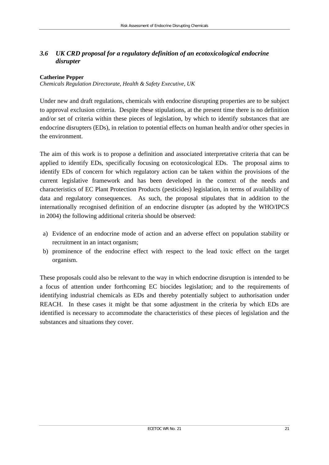# <span id="page-26-0"></span>*3.6 UK CRD proposal for a regulatory definition of an ecotoxicological endocrine disrupter*

# **Catherine Pepper**

*Chemicals Regulation Directorate, Health & Safety Executive, UK*

Under new and draft regulations, chemicals with endocrine disrupting properties are to be subject to approval exclusion criteria. Despite these stipulations, at the present time there is no definition and/or set of criteria within these pieces of legislation, by which to identify substances that are endocrine disrupters (EDs), in relation to potential effects on human health and/or other species in the environment.

The aim of this work is to propose a definition and associated interpretative criteria that can be applied to identify EDs, specifically focusing on ecotoxicological EDs. The proposal aims to identify EDs of concern for which regulatory action can be taken within the provisions of the current legislative framework and has been developed in the context of the needs and characteristics of EC Plant Protection Products (pesticides) legislation, in terms of availability of data and regulatory consequences. As such, the proposal stipulates that in addition to the internationally recognised definition of an endocrine disrupter (as adopted by the WHO/IPCS in 2004) the following additional criteria should be observed:

- a) Evidence of an endocrine mode of action and an adverse effect on population stability or recruitment in an intact organism;
- b) prominence of the endocrine effect with respect to the lead toxic effect on the target organism.

These proposals could also be relevant to the way in which endocrine disruption is intended to be a focus of attention under forthcoming EC biocides legislation; and to the requirements of identifying industrial chemicals as EDs and thereby potentially subject to authorisation under REACH. In these cases it might be that some adjustment in the criteria by which EDs are identified is necessary to accommodate the characteristics of these pieces of legislation and the substances and situations they cover.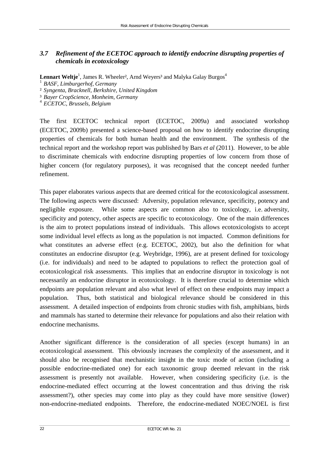# <span id="page-27-0"></span>*3.7 Refinement of the ECETOC approach to identify endocrine disrupting properties of chemicals in ecotoxicology*

Lennart Weltje<sup>1</sup>, James R. Wheeler<sup>2</sup>, Arnd Weyers<sup>3</sup> and Malyka Galay Burgos<sup>4</sup>

<sup>1</sup> *BASF, Limburgerhof, Germany*

² *Syngenta, Bracknell, Berkshire, United Kingdom*

³ *Bayer CropScience, Monheim, Germany*

<sup>4</sup> *ECETOC, Brussels, Belgium*

The first ECETOC technical report (ECETOC, 2009a) and associated workshop (ECETOC, 2009b) presented a science-based proposal on how to identify endocrine disrupting properties of chemicals for both human health and the environment. The synthesis of the technical report and the workshop report was published by Bars *et al* (2011). However, to be able to discriminate chemicals with endocrine disrupting properties of low concern from those of higher concern (for regulatory purposes), it was recognised that the concept needed further refinement.

This paper elaborates various aspects that are deemed critical for the ecotoxicological assessment. The following aspects were discussed: Adversity, population relevance, specificity, potency and negligible exposure. While some aspects are common also to toxicology, i.e. adversity, specificity and potency, other aspects are specific to ecotoxicology. One of the main differences is the aim to protect populations instead of individuals. This allows ecotoxicologists to accept some individual level effects as long as the population is not impacted. Common definitions for what constitutes an adverse effect (e.g. ECETOC, 2002), but also the definition for what constitutes an endocrine disruptor (e.g. Weybridge, 1996), are at present defined for toxicology (i.e. for individuals) and need to be adapted to populations to reflect the protection goal of ecotoxicological risk assessments. This implies that an endocrine disruptor in toxicology is not necessarily an endocrine disruptor in ecotoxicology. It is therefore crucial to determine which endpoints are population relevant and also what level of effect on these endpoints may impact a population. Thus, both statistical and biological relevance should be considered in this assessment. A detailed inspection of endpoints from chronic studies with fish, amphibians, birds and mammals has started to determine their relevance for populations and also their relation with endocrine mechanisms.

Another significant difference is the consideration of all species (except humans) in an ecotoxicological assessment. This obviously increases the complexity of the assessment, and it should also be recognised that mechanistic insight in the toxic mode of action (including a possible endocrine-mediated one) for each taxonomic group deemed relevant in the risk assessment is presently not available. However, when considering specificity (i.e. is the endocrine-mediated effect occurring at the lowest concentration and thus driving the risk assessment?), other species may come into play as they could have more sensitive (lower) non-endocrine-mediated endpoints. Therefore, the endocrine-mediated NOEC/NOEL is first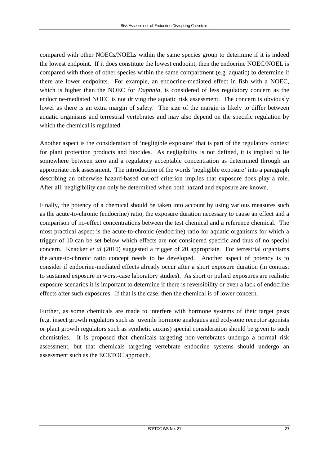compared with other NOECs/NOELs within the same species group to determine if it is indeed the lowest endpoint. If it does constitute the lowest endpoint, then the endocrine NOEC/NOEL is compared with those of other species within the same compartment (e.g. aquatic) to determine if there are lower endpoints. For example, an endocrine-mediated effect in fish with a NOEC, which is higher than the NOEC for *Daphnia*, is considered of less regulatory concern as the endocrine-mediated NOEC is not driving the aquatic risk assessment. The concern is obviously lower as there is an extra margin of safety. The size of the margin is likely to differ between aquatic organisms and terrestrial vertebrates and may also depend on the specific regulation by which the chemical is regulated.

Another aspect is the consideration of 'negligible exposure' that is part of the regulatory context for plant protection products and biocides. As negligibility is not defined, it is implied to lie somewhere between zero and a regulatory acceptable concentration as determined through an appropriate risk assessment. The introduction of the words 'negligible exposure' into a paragraph describing an otherwise hazard-based cut-off criterion implies that exposure does play a role. After all, negligibility can only be determined when both hazard and exposure are known.

Finally, the potency of a chemical should be taken into account by using various measures such as the acute-to-chronic (endocrine) ratio, the exposure duration necessary to cause an effect and a comparison of no-effect concentrations between the test chemical and a reference chemical. The most practical aspect is the acute-to-chronic (endocrine) ratio for aquatic organisms for which a trigger of 10 can be set below which effects are not considered specific and thus of no special concern. Knacker *et al* (2010) suggested a trigger of 20 appropriate. For terrestrial organisms the acute-to-chronic ratio concept needs to be developed. Another aspect of potency is to consider if endocrine-mediated effects already occur after a short exposure duration (in contrast to sustained exposure in worst-case laboratory studies). As short or pulsed exposures are realistic exposure scenarios it is important to determine if there is reversibility or even a lack of endocrine effects after such exposures. If that is the case, then the chemical is of lower concern.

Further, as some chemicals are made to interfere with hormone systems of their target pests (e.g. insect growth regulators such as juvenile hormone analogues and ecdysone receptor agonists or plant growth regulators such as synthetic auxins) special consideration should be given to such chemistries. It is proposed that chemicals targeting non-vertebrates undergo a normal risk assessment, but that chemicals targeting vertebrate endocrine systems should undergo an assessment such as the ECETOC approach.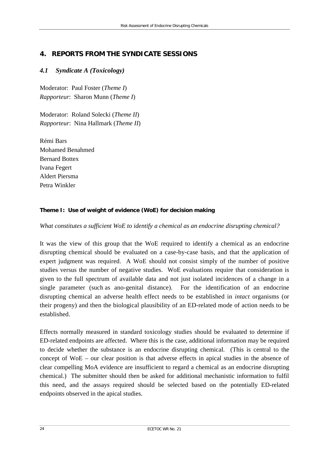# <span id="page-29-0"></span>**4. REPORTS FROM THE SYNDICATE SESSIONS**

# <span id="page-29-1"></span>*4.1 Syndicate A (Toxicology)*

Moderator: Paul Foster (*Theme I*) *Rapporteur*: Sharon Munn (*Theme I*)

Moderator: Roland Solecki (*Theme II*) *Rapporteur*: Nina Hallmark (*Theme II*)

Rémi Bars Mohamed Benahmed Bernard Bottex Ivana Fegert Aldert Piersma Petra Winkler

# **Theme I: Use of weight of evidence (WoE) for decision making**

# *What constitutes a sufficient WoE to identify a chemical as an endocrine disrupting chemical?*

It was the view of this group that the WoE required to identify a chemical as an endocrine disrupting chemical should be evaluated on a case-by-case basis, and that the application of expert judgment was required. A WoE should not consist simply of the number of positive studies versus the number of negative studies. WoE evaluations require that consideration is given to the full spectrum of available data and not just isolated incidences of a change in a single parameter (such as ano-genital distance). For the identification of an endocrine disrupting chemical an adverse health effect needs to be established in *intact* organisms (or their progeny) and then the biological plausibility of an ED-related mode of action needs to be established.

Effects normally measured in standard toxicology studies should be evaluated to determine if ED-related endpoints are affected. Where this is the case, additional information may be required to decide whether the substance is an endocrine disrupting chemical. (This is central to the concept of WoE – our clear position is that adverse effects in apical studies in the absence of clear compelling MoA evidence are insufficient to regard a chemical as an endocrine disrupting chemical.) The submitter should then be asked for additional mechanistic information to fulfil this need, and the assays required should be selected based on the potentially ED-related endpoints observed in the apical studies.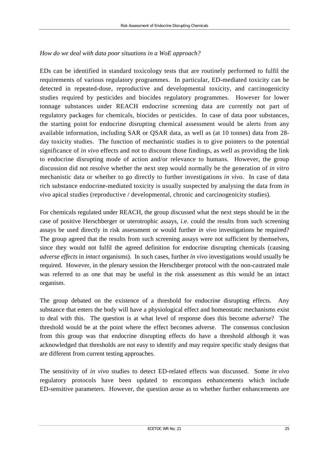# *How do we deal with data poor situations in a WoE approach?*

EDs can be identified in standard toxicology tests that are routinely performed to fulfil the requirements of various regulatory programmes. In particular, ED-mediated toxicity can be detected in repeated-dose, reproductive and developmental toxicity, and carcinogenicity studies required by pesticides and biocides regulatory programmes. However for lower tonnage substances under REACH endocrine screening data are currently not part of regulatory packages for chemicals, biocides or pesticides. In case of data poor substances, the starting point for endocrine disrupting chemical assessment would be alerts from any available information, including SAR or QSAR data, as well as (at 10 tonnes) data from 28 day toxicity studies. The function of mechanistic studies is to give pointers to the potential significance of *in vivo* effects and not to discount those findings, as well as providing the link to endocrine disrupting mode of action and/or relevance to humans. However, the group discussion did not resolve whether the next step would normally be the generation of *in vitro* mechanistic data or whether to go directly to further investigations *in vivo*. In case of data rich substance endocrine-mediated toxicity is usually suspected by analysing the data from *in vivo* apical studies (reproductive / developmental, chronic and carcinogenicity studies).

For chemicals regulated under REACH, the group discussed what the next steps should be in the case of positive Herschberger or uterotrophic assays, i.e. could the results from such screening assays be used directly in risk assessment or would further *in vivo* investigations be required? The group agreed that the results from such screening assays were not sufficient by themselves, since they would not fulfil the agreed definition for endocrine disrupting chemicals (causing *adverse effects* in *intact* organisms). In such cases, further *in vivo* investigations would usually be required. However, in the plenary session the Herschberger protocol with the non-castrated male was referred to as one that may be useful in the risk assessment as this would be an intact organism.

The group debated on the existence of a threshold for endocrine disrupting effects. Any substance that enters the body will have a physiological effect and homeostatic mechanisms exist to deal with this. The question is at what level of response does this become *adverse*? The threshold would be at the point where the effect becomes adverse. The consensus conclusion from this group was that endocrine disrupting effects do have a threshold although it was acknowledged that thresholds are not easy to identify and may require specific study designs that are different from current testing approaches.

The sensitivity of *in vivo* studies to detect ED-related effects was discussed. Some *in vivo* regulatory protocols have been updated to encompass enhancements which include ED-sensitive parameters. However, the question arose as to whether further enhancements are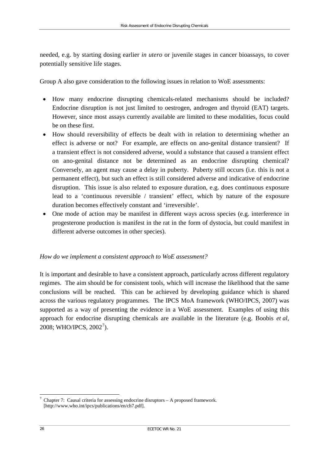needed, e.g. by starting dosing earlier *in utero* or juvenile stages in cancer bioassays, to cover potentially sensitive life stages.

Group A also gave consideration to the following issues in relation to WoE assessments:

- How many endocrine disrupting chemicals-related mechanisms should be included? Endocrine disruption is not just limited to oestrogen, androgen and thyroid (EAT) targets. However, since most assays currently available are limited to these modalities, focus could be on these first.
- How should reversibility of effects be dealt with in relation to determining whether an effect is adverse or not? For example, are effects on ano-genital distance transient? If a transient effect is not considered adverse, would a substance that caused a transient effect on ano-genital distance not be determined as an endocrine disrupting chemical? Conversely, an agent may cause a delay in puberty. Puberty still occurs (i.e. this is not a permanent effect), but such an effect is still considered adverse and indicative of endocrine disruption. This issue is also related to exposure duration, e.g. does continuous exposure lead to a 'continuous reversible / transient' effect, which by nature of the exposure duration becomes effectively constant and 'irreversible'.
- One mode of action may be manifest in different ways across species (e.g. interference in progesterone production is manifest in the rat in the form of dystocia, but could manifest in different adverse outcomes in other species).

### *How do we implement a consistent approach to WoE assessment?*

It is important and desirable to have a consistent approach, particularly across different regulatory regimes. The aim should be for consistent tools, which will increase the likelihood that the same conclusions will be reached. This can be achieved by developing guidance which is shared across the various regulatory programmes. The IPCS MoA framework (WHO/IPCS, 2007) was supported as a way of presenting the evidence in a WoE assessment. Examples of using this approach for endocrine disrupting chemicals are available in the literature (e.g. Boobis *et al*, 2008; WHO/IPCS, 2002<sup>[7](#page-31-0)</sup>).

<span id="page-31-0"></span> $\frac{7}{7}$  Chapter 7: Causal criteria for assessing endocrine disruptors – A proposed framework. [http://www.who.int/ipcs/publications/en/ch7.pdf].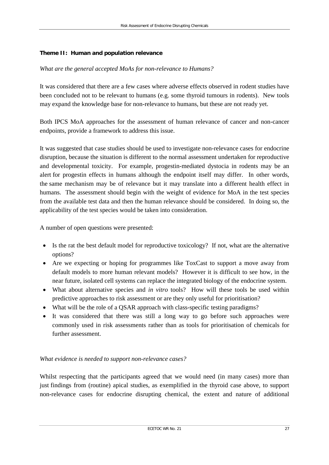# **Theme II: Human and population relevance**

# *What are the general accepted MoAs for non-relevance to Humans?*

It was considered that there are a few cases where adverse effects observed in rodent studies have been concluded not to be relevant to humans (e.g. some thyroid tumours in rodents). New tools may expand the knowledge base for non-relevance to humans, but these are not ready yet.

Both IPCS MoA approaches for the assessment of human relevance of cancer and non-cancer endpoints, provide a framework to address this issue.

It was suggested that case studies should be used to investigate non-relevance cases for endocrine disruption, because the situation is different to the normal assessment undertaken for reproductive and developmental toxicity. For example, progestin-mediated dystocia in rodents may be an alert for progestin effects in humans although the endpoint itself may differ. In other words, the same mechanism may be of relevance but it may translate into a different health effect in humans. The assessment should begin with the weight of evidence for MoA in the test species from the available test data and then the human relevance should be considered. In doing so, the applicability of the test species would be taken into consideration.

A number of open questions were presented:

- Is the rat the best default model for reproductive toxicology? If not, what are the alternative options?
- Are we expecting or hoping for programmes like ToxCast to support a move away from default models to more human relevant models? However it is difficult to see how, in the near future, isolated cell systems can replace the integrated biology of the endocrine system.
- What about alternative species and *in vitro* tools? How will these tools be used within predictive approaches to risk assessment or are they only useful for prioritisation?
- What will be the role of a QSAR approach with class-specific testing paradigms?
- It was considered that there was still a long way to go before such approaches were commonly used in risk assessments rather than as tools for prioritisation of chemicals for further assessment.

# *What evidence is needed to support non-relevance cases?*

Whilst respecting that the participants agreed that we would need (in many cases) more than just findings from (routine) apical studies, as exemplified in the thyroid case above, to support non-relevance cases for endocrine disrupting chemical, the extent and nature of additional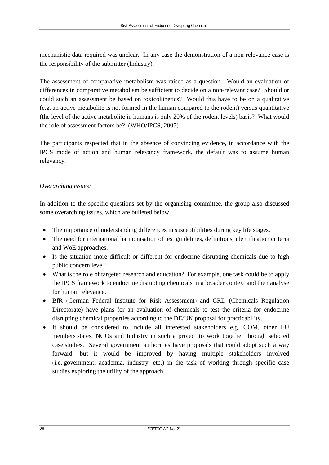mechanistic data required was unclear. In any case the demonstration of a non-relevance case is the responsibility of the submitter (Industry).

The assessment of comparative metabolism was raised as a question. Would an evaluation of differences in comparative metabolism be sufficient to decide on a non-relevant case? Should or could such an assessment be based on toxicokinetics? Would this have to be on a qualitative (e.g. an active metabolite is not formed in the human compared to the rodent) versus quantitative (the level of the active metabolite in humans is only 20% of the rodent levels) basis? What would the role of assessment factors be? (WHO/IPCS, 2005)

The participants respected that in the absence of convincing evidence, in accordance with the IPCS mode of action and human relevancy framework, the default was to assume human relevancy.

# *Overarching issues:*

In addition to the specific questions set by the organising committee, the group also discussed some overarching issues, which are bulleted below.

- The importance of understanding differences in susceptibilities during key life stages.
- The need for international harmonisation of test guidelines, definitions, identification criteria and WoE approaches.
- Is the situation more difficult or different for endocrine disrupting chemicals due to high public concern level?
- What is the role of targeted research and education? For example, one task could be to apply the IPCS framework to endocrine disrupting chemicals in a broader context and then analyse for human relevance.
- BfR (German Federal Institute for Risk Assessment) and CRD (Chemicals Regulation Directorate) have plans for an evaluation of chemicals to test the criteria for endocrine disrupting chemical properties according to the DE/UK proposal for practicability.
- It should be considered to include all interested stakeholders e.g. COM, other EU members states, NGOs and Industry in such a project to work together through selected case studies. Several government authorities have proposals that could adopt such a way forward, but it would be improved by having multiple stakeholders involved (i.e. government, academia, industry, etc.) in the task of working through specific case studies exploring the utility of the approach.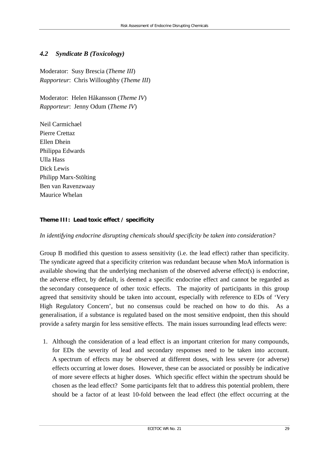# <span id="page-34-0"></span>*4.2 Syndicate B (Toxicology)*

Moderator: Susy Brescia (*Theme III*) *Rapporteur*: Chris Willoughby (*Theme III*)

Moderator: Helen Håkansson (*Theme IV*) *Rapporteur*: Jenny Odum (*Theme IV*)

Neil Carmichael Pierre Crettaz Ellen Dhein Philippa Edwards Ulla Hass Dick Lewis Philipp Marx-Stölting Ben van Ravenzwaay Maurice Whelan

### **Theme III: Lead toxic effect / specificity**

*In identifying endocrine disrupting chemicals should specificity be taken into consideration?*

Group B modified this question to assess sensitivity (i.e. the lead effect) rather than specificity. The syndicate agreed that a specificity criterion was redundant because when MoA information is available showing that the underlying mechanism of the observed adverse effect(s) is endocrine, the adverse effect, by default, is deemed a specific endocrine effect and cannot be regarded as the secondary consequence of other toxic effects. The majority of participants in this group agreed that sensitivity should be taken into account, especially with reference to EDs of 'Very High Regulatory Concern', but no consensus could be reached on how to do this. As a generalisation, if a substance is regulated based on the most sensitive endpoint, then this should provide a safety margin for less sensitive effects. The main issues surrounding lead effects were:

1. Although the consideration of a lead effect is an important criterion for many compounds, for EDs the severity of lead and secondary responses need to be taken into account. A spectrum of effects may be observed at different doses, with less severe (or adverse) effects occurring at lower doses. However, these can be associated or possibly be indicative of more severe effects at higher doses. Which specific effect within the spectrum should be chosen as the lead effect? Some participants felt that to address this potential problem, there should be a factor of at least 10-fold between the lead effect (the effect occurring at the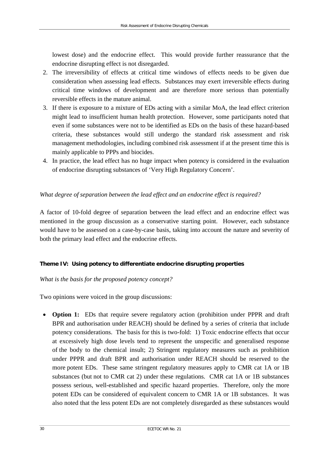lowest dose) and the endocrine effect. This would provide further reassurance that the endocrine disrupting effect is not disregarded.

- 2. The irreversibility of effects at critical time windows of effects needs to be given due consideration when assessing lead effects. Substances may exert irreversible effects during critical time windows of development and are therefore more serious than potentially reversible effects in the mature animal.
- 3. If there is exposure to a mixture of EDs acting with a similar MoA, the lead effect criterion might lead to insufficient human health protection. However, some participants noted that even if some substances were not to be identified as EDs on the basis of these hazard-based criteria, these substances would still undergo the standard risk assessment and risk management methodologies, including combined risk assessment if at the present time this is mainly applicable to PPPs and biocides.
- 4. In practice, the lead effect has no huge impact when potency is considered in the evaluation of endocrine disrupting substances of 'Very High Regulatory Concern'.

# *What degree of separation between the lead effect and an endocrine effect is required?*

A factor of 10-fold degree of separation between the lead effect and an endocrine effect was mentioned in the group discussion as a conservative starting point. However, each substance would have to be assessed on a case-by-case basis, taking into account the nature and severity of both the primary lead effect and the endocrine effects.

# **Theme IV: Using potency to differentiate endocrine disrupting properties**

# *What is the basis for the proposed potency concept?*

Two opinions were voiced in the group discussions:

**Option 1:** EDs that require severe regulatory action (prohibition under PPPR and draft BPR and authorisation under REACH) should be defined by a series of criteria that include potency considerations. The basis for this is two-fold: 1) Toxic endocrine effects that occur at excessively high dose levels tend to represent the unspecific and generalised response of the body to the chemical insult; 2) Stringent regulatory measures such as prohibition under PPPR and draft BPR and authorisation under REACH should be reserved to the more potent EDs. These same stringent regulatory measures apply to CMR cat 1A or 1B substances (but not to CMR cat 2) under these regulations. CMR cat 1A or 1B substances possess serious, well-established and specific hazard properties. Therefore, only the more potent EDs can be considered of equivalent concern to CMR 1A or 1B substances. It was also noted that the less potent EDs are not completely disregarded as these substances would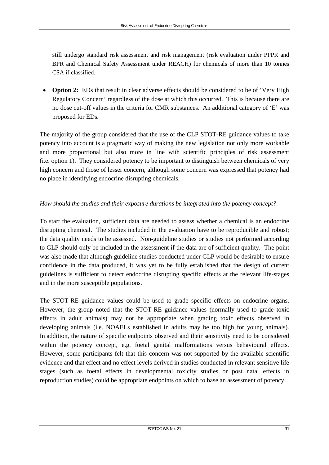still undergo standard risk assessment and risk management (risk evaluation under PPPR and BPR and Chemical Safety Assessment under REACH) for chemicals of more than 10 tonnes CSA if classified.

• **Option 2:** EDs that result in clear adverse effects should be considered to be of 'Very High Regulatory Concern' regardless of the dose at which this occurred. This is because there are no dose cut-off values in the criteria for CMR substances. An additional category of 'E' was proposed for EDs.

The majority of the group considered that the use of the CLP STOT-RE guidance values to take potency into account is a pragmatic way of making the new legislation not only more workable and more proportional but also more in line with scientific principles of risk assessment (i.e. option 1). They considered potency to be important to distinguish between chemicals of very high concern and those of lesser concern, although some concern was expressed that potency had no place in identifying endocrine disrupting chemicals.

# *How should the studies and their exposure durations be integrated into the potency concept?*

To start the evaluation, sufficient data are needed to assess whether a chemical is an endocrine disrupting chemical. The studies included in the evaluation have to be reproducible and robust; the data quality needs to be assessed. Non-guideline studies or studies not performed according to GLP should only be included in the assessment if the data are of sufficient quality. The point was also made that although guideline studies conducted under GLP would be desirable to ensure confidence in the data produced, it was yet to be fully established that the design of current guidelines is sufficient to detect endocrine disrupting specific effects at the relevant life-stages and in the more susceptible populations.

The STOT-RE guidance values could be used to grade specific effects on endocrine organs. However, the group noted that the STOT-RE guidance values (normally used to grade toxic effects in adult animals) may not be appropriate when grading toxic effects observed in developing animals (i.e. NOAELs established in adults may be too high for young animals). In addition, the nature of specific endpoints observed and their sensitivity need to be considered within the potency concept, e.g. foetal genital malformations versus behavioural effects. However, some participants felt that this concern was not supported by the available scientific evidence and that effect and no effect levels derived in studies conducted in relevant sensitive life stages (such as foetal effects in developmental toxicity studies or post natal effects in reproduction studies) could be appropriate endpoints on which to base an assessment of potency.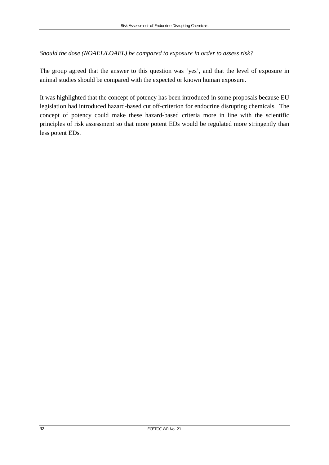*Should the dose (NOAEL/LOAEL) be compared to exposure in order to assess risk?*

The group agreed that the answer to this question was 'yes', and that the level of exposure in animal studies should be compared with the expected or known human exposure.

It was highlighted that the concept of potency has been introduced in some proposals because EU legislation had introduced hazard-based cut off-criterion for endocrine disrupting chemicals. The concept of potency could make these hazard-based criteria more in line with the scientific principles of risk assessment so that more potent EDs would be regulated more stringently than less potent EDs.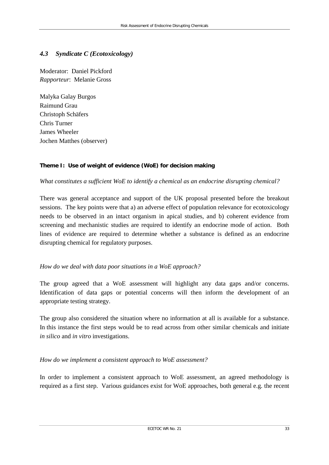# <span id="page-38-0"></span>*4.3 Syndicate C (Ecotoxicology)*

Moderator: Daniel Pickford *Rapporteur*: Melanie Gross

Malyka Galay Burgos Raimund Grau Christoph Schäfers Chris Turner James Wheeler Jochen Matthes (observer)

### **Theme I: Use of weight of evidence (WoE) for decision making**

*What constitutes a sufficient WoE to identify a chemical as an endocrine disrupting chemical?*

There was general acceptance and support of the UK proposal presented before the breakout sessions. The key points were that a) an adverse effect of population relevance for ecotoxicology needs to be observed in an intact organism in apical studies, and b) coherent evidence from screening and mechanistic studies are required to identify an endocrine mode of action. Both lines of evidence are required to determine whether a substance is defined as an endocrine disrupting chemical for regulatory purposes.

### *How do we deal with data poor situations in a WoE approach?*

The group agreed that a WoE assessment will highlight any data gaps and/or concerns. Identification of data gaps or potential concerns will then inform the development of an appropriate testing strategy.

The group also considered the situation where no information at all is available for a substance. In this instance the first steps would be to read across from other similar chemicals and initiate *in silico* and *in vitro* investigations.

### *How do we implement a consistent approach to WoE assessment?*

In order to implement a consistent approach to WoE assessment, an agreed methodology is required as a first step. Various guidances exist for WoE approaches, both general e.g. the recent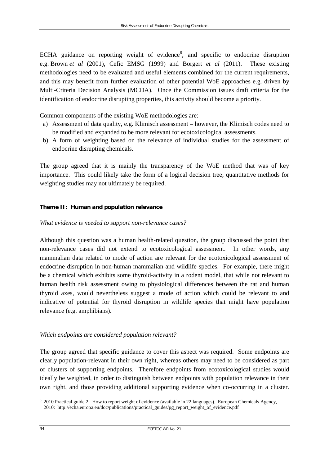ECHA guidance on reporting weight of evidence<sup>[8](#page-39-0)</sup>, and specific to endocrine disruption e.g. Brown *et al* (2001), Cefic EMSG (1999) and Borgert *et al* (2011). These existing methodologies need to be evaluated and useful elements combined for the current requirements, and this may benefit from further evaluation of other potential WoE approaches e.g. driven by Multi-Criteria Decision Analysis (MCDA). Once the Commission issues draft criteria for the identification of endocrine disrupting properties, this activity should become a priority.

Common components of the existing WoE methodologies are:

- a) Assessment of data quality, e.g. Klimisch assessment however, the Klimisch codes need to be modified and expanded to be more relevant for ecotoxicological assessments.
- b) A form of weighting based on the relevance of individual studies for the assessment of endocrine disrupting chemicals.

The group agreed that it is mainly the transparency of the WoE method that was of key importance. This could likely take the form of a logical decision tree; quantitative methods for weighting studies may not ultimately be required.

# **Theme II: Human and population relevance**

### *What evidence is needed to support non-relevance cases?*

Although this question was a human health-related question, the group discussed the point that non-relevance cases did not extend to ecotoxicological assessment. In other words, any mammalian data related to mode of action are relevant for the ecotoxicological assessment of endocrine disruption in non-human mammalian and wildlife species. For example, there might be a chemical which exhibits some thyroid-activity in a rodent model, that while not relevant to human health risk assessment owing to physiological differences between the rat and human thyroid axes, would nevertheless suggest a mode of action which could be relevant to and indicative of potential for thyroid disruption in wildlife species that might have population relevance (e.g. amphibians).

# *Which endpoints are considered population relevant?*

The group agreed that specific guidance to cover this aspect was required. Some endpoints are clearly population-relevant in their own right, whereas others may need to be considered as part of clusters of supporting endpoints. Therefore endpoints from ecotoxicological studies would ideally be weighted, in order to distinguish between endpoints with population relevance in their own right, and those providing additional supporting evidence when co-occurring in a cluster.

<span id="page-39-0"></span><sup>&</sup>lt;sup>8</sup> 2010 Practical guide 2: How to report weight of evidence (available in 22 languages). European Chemicals Agency, 2010: http://echa.europa.eu/doc/publications/practical\_guides/pg\_report\_weight\_of\_evidence.pdf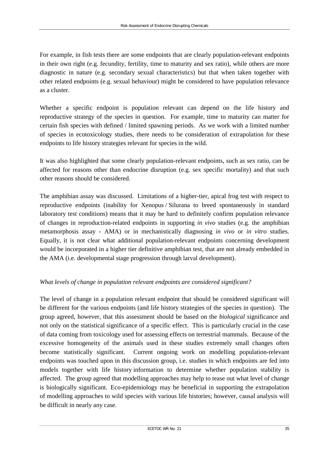For example, in fish tests there are some endpoints that are clearly population-relevant endpoints in their own right (e.g. fecundity, fertility, time to maturity and sex ratio), while others are more diagnostic in nature (e.g. secondary sexual characteristics) but that when taken together with other related endpoints (e.g. sexual behaviour) might be considered to have population relevance as a cluster.

Whether a specific endpoint is population relevant can depend on the life history and reproductive strategy of the species in question. For example, time to maturity can matter for certain fish species with defined / limited spawning periods. As we work with a limited number of species in ecotoxicology studies, there needs to be consideration of extrapolation for these endpoints to life history strategies relevant for species in the wild.

It was also highlighted that some clearly population-relevant endpoints, such as sex ratio, can be affected for reasons other than endocrine disruption (e.g. sex specific mortality) and that such other reasons should be considered.

The amphibian assay was discussed. Limitations of a higher-tier, apical frog test with respect to reproductive endpoints (inability for Xenopus / Silurana to breed spontaneously in standard laboratory test conditions) means that it may be hard to definitely confirm population relevance of changes in reproduction-related endpoints in supporting *in vivo* studies (e.g. the amphibian metamorphosis assay - AMA) or in mechanistically diagnosing *in vivo* or *in vitro* studies. Equally, it is not clear what additional population-relevant endpoints concerning development would be incorporated in a higher tier definitive amphibian test, that are not already embedded in the AMA (i.e. developmental stage progression through larval development).

# *What levels of change in population relevant endpoints are considered significant?*

The level of change in a population relevant endpoint that should be considered significant will be different for the various endpoints (and life history strategies of the species in question). The group agreed, however, that this assessment should be based on the *biological* significance and not only on the statistical significance of a specific effect. This is particularly crucial in the case of data coming from toxicology used for assessing effects on terrestrial mammals. Because of the excessive homogeneity of the animals used in these studies extremely small changes often become statistically significant. Current ongoing work on modelling population-relevant endpoints was touched upon in this discussion group, i.e. studies in which endpoints are fed into models together with life history information to determine whether population stability is affected. The group agreed that modelling approaches may help to tease out what level of change is biologically significant. Eco-epidemiology may be beneficial in supporting the extrapolation of modelling approaches to wild species with various life histories; however, causal analysis will be difficult in nearly any case.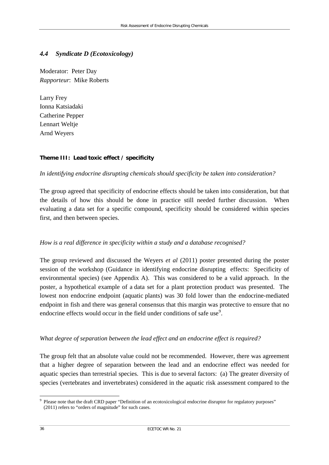# <span id="page-41-0"></span>*4.4 Syndicate D (Ecotoxicology)*

Moderator: Peter Day *Rapporteur*: Mike Roberts

Larry Frey Ionna Katsiadaki Catherine Pepper Lennart Weltje Arnd Weyers

### **Theme III: Lead toxic effect / specificity**

*In identifying endocrine disrupting chemicals should specificity be taken into consideration?*

The group agreed that specificity of endocrine effects should be taken into consideration, but that the details of how this should be done in practice still needed further discussion. When evaluating a data set for a specific compound, specificity should be considered within species first, and then between species.

### *How is a real difference in specificity within a study and a database recognised?*

The group reviewed and discussed the Weyers *et al* (2011) poster presented during the poster session of the workshop (Guidance in identifying endocrine disrupting effects: Specificity of environmental species) (see Appendix A). This was considered to be a valid approach. In the poster, a hypothetical example of a data set for a plant protection product was presented. The lowest non endocrine endpoint (aquatic plants) was 30 fold lower than the endocrine-mediated endpoint in fish and there was general consensus that this margin was protective to ensure that no endocrine effects would occur in the field under conditions of safe use<sup>[9](#page-41-1)</sup>.

#### *What degree of separation between the lead effect and an endocrine effect is required?*

The group felt that an absolute value could not be recommended. However, there was agreement that a higher degree of separation between the lead and an endocrine effect was needed for aquatic species than terrestrial species. This is due to several factors: (a) The greater diversity of species (vertebrates and invertebrates) considered in the aquatic risk assessment compared to the

<span id="page-41-1"></span><sup>&</sup>lt;sup>9</sup> Please note that the draft CRD paper "Definition of an ecotoxicological endocrine disruptor for regulatory purposes" (2011) refers to "orders of magnitude" for such cases.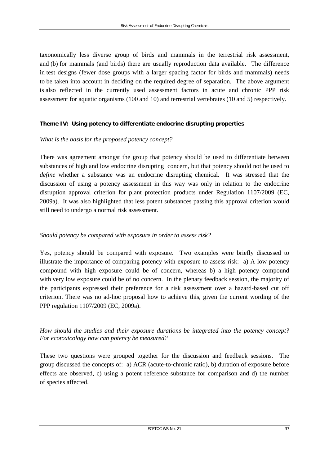taxonomically less diverse group of birds and mammals in the terrestrial risk assessment, and (b) for mammals (and birds) there are usually reproduction data available. The difference in test designs (fewer dose groups with a larger spacing factor for birds and mammals) needs to be taken into account in deciding on the required degree of separation. The above argument is also reflected in the currently used assessment factors in acute and chronic PPP risk assessment for aquatic organisms (100 and 10) and terrestrial vertebrates (10 and 5) respectively.

# **Theme IV: Using potency to differentiate endocrine disrupting properties**

# *What is the basis for the proposed potency concept?*

There was agreement amongst the group that potency should be used to differentiate between substances of high and low endocrine disrupting concern, but that potency should not be used to *define* whether a substance was an endocrine disrupting chemical. It was stressed that the discussion of using a potency assessment in this way was only in relation to the endocrine disruption approval criterion for plant protection products under Regulation 1107/2009 (EC, 2009a). It was also highlighted that less potent substances passing this approval criterion would still need to undergo a normal risk assessment.

# *Should potency be compared with exposure in order to assess risk?*

Yes, potency should be compared with exposure. Two examples were briefly discussed to illustrate the importance of comparing potency with exposure to assess risk: a) A low potency compound with high exposure could be of concern, whereas b) a high potency compound with very low exposure could be of no concern. In the plenary feedback session, the majority of the participants expressed their preference for a risk assessment over a hazard-based cut off criterion. There was no ad-hoc proposal how to achieve this, given the current wording of the PPP regulation 1107/2009 (EC, 2009a).

# *How should the studies and their exposure durations be integrated into the potency concept? For ecotoxicology how can potency be measured?*

These two questions were grouped together for the discussion and feedback sessions. The group discussed the concepts of: a) ACR (acute-to-chronic ratio), b) duration of exposure before effects are observed, c) using a potent reference substance for comparison and d) the number of species affected.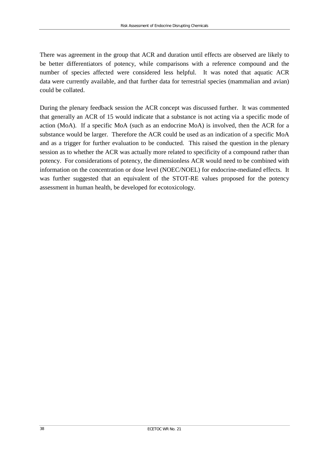There was agreement in the group that ACR and duration until effects are observed are likely to be better differentiators of potency, while comparisons with a reference compound and the number of species affected were considered less helpful. It was noted that aquatic ACR data were currently available, and that further data for terrestrial species (mammalian and avian) could be collated.

During the plenary feedback session the ACR concept was discussed further. It was commented that generally an ACR of 15 would indicate that a substance is not acting via a specific mode of action (MoA). If a specific MoA (such as an endocrine MoA) is involved, then the ACR for a substance would be larger. Therefore the ACR could be used as an indication of a specific MoA and as a trigger for further evaluation to be conducted. This raised the question in the plenary session as to whether the ACR was actually more related to specificity of a compound rather than potency. For considerations of potency, the dimensionless ACR would need to be combined with information on the concentration or dose level (NOEC/NOEL) for endocrine-mediated effects. It was further suggested that an equivalent of the STOT-RE values proposed for the potency assessment in human health, be developed for ecotoxicology.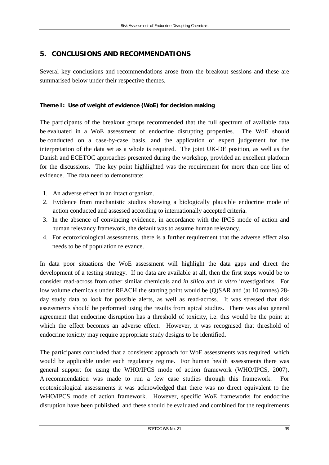# <span id="page-44-0"></span>**5. CONCLUSIONS AND RECOMMENDATIONS**

Several key conclusions and recommendations arose from the breakout sessions and these are summarised below under their respective themes.

#### **Theme I: Use of weight of evidence (WoE) for decision making**

The participants of the breakout groups recommended that the full spectrum of available data be evaluated in a WoE assessment of endocrine disrupting properties. The WoE should be conducted on a case-by-case basis, and the application of expert judgement for the interpretation of the data set as a whole is required. The joint UK-DE position, as well as the Danish and ECETOC approaches presented during the workshop, provided an excellent platform for the discussions. The key point highlighted was the requirement for more than one line of evidence. The data need to demonstrate:

- 1. An adverse effect in an intact organism.
- 2. Evidence from mechanistic studies showing a biologically plausible endocrine mode of action conducted and assessed according to internationally accepted criteria.
- 3. In the absence of convincing evidence, in accordance with the IPCS mode of action and human relevancy framework, the default was to assume human relevancy.
- 4. For ecotoxicological assessments, there is a further requirement that the adverse effect also needs to be of population relevance.

In data poor situations the WoE assessment will highlight the data gaps and direct the development of a testing strategy. If no data are available at all, then the first steps would be to consider read-across from other similar chemicals and *in silico* and *in vitro* investigations. For low volume chemicals under REACH the starting point would be (Q)SAR and (at 10 tonnes) 28 day study data to look for possible alerts, as well as read-across. It was stressed that risk assessments should be performed using the results from apical studies. There was also general agreement that endocrine disruption has a threshold of toxicity, i.e. this would be the point at which the effect becomes an adverse effect. However, it was recognised that threshold of endocrine toxicity may require appropriate study designs to be identified.

The participants concluded that a consistent approach for WoE assessments was required, which would be applicable under each regulatory regime. For human health assessments there was general support for using the WHO/IPCS mode of action framework (WHO/IPCS, 2007). A recommendation was made to run a few case studies through this framework. For ecotoxicological assessments it was acknowledged that there was no direct equivalent to the WHO/IPCS mode of action framework. However, specific WoE frameworks for endocrine disruption have been published, and these should be evaluated and combined for the requirements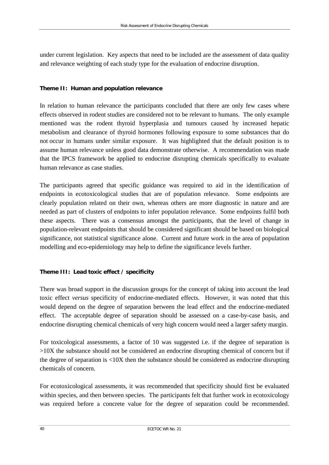under current legislation. Key aspects that need to be included are the assessment of data quality and relevance weighting of each study type for the evaluation of endocrine disruption.

# **Theme II: Human and population relevance**

In relation to human relevance the participants concluded that there are only few cases where effects observed in rodent studies are considered not to be relevant to humans. The only example mentioned was the rodent thyroid hyperplasia and tumours caused by increased hepatic metabolism and clearance of thyroid hormones following exposure to some substances that do not occur in humans under similar exposure. It was highlighted that the default position is to assume human relevance unless good data demonstrate otherwise. A recommendation was made that the IPCS framework be applied to endocrine disrupting chemicals specifically to evaluate human relevance as case studies.

The participants agreed that specific guidance was required to aid in the identification of endpoints in ecotoxicological studies that are of population relevance. Some endpoints are clearly population related on their own, whereas others are more diagnostic in nature and are needed as part of clusters of endpoints to infer population relevance. Some endpoints fulfil both these aspects. There was a consensus amongst the participants, that the level of change in population-relevant endpoints that should be considered significant should be based on biological significance, not statistical significance alone. Current and future work in the area of population modelling and eco-epidemiology may help to define the significance levels further.

# **Theme III: Lead toxic effect / specificity**

There was broad support in the discussion groups for the concept of taking into account the lead toxic effect *versus* specificity of endocrine-mediated effects. However, it was noted that this would depend on the degree of separation between the lead effect and the endocrine-mediated effect. The acceptable degree of separation should be assessed on a case-by-case basis, and endocrine disrupting chemical chemicals of very high concern would need a larger safety margin.

For toxicological assessments, a factor of 10 was suggested i.e. if the degree of separation is >10X the substance should not be considered an endocrine disrupting chemical of concern but if the degree of separation is <10X then the substance should be considered as endocrine disrupting chemicals of concern.

For ecotoxicological assessments, it was recommended that specificity should first be evaluated within species, and then between species. The participants felt that further work in ecotoxicology was required before a concrete value for the degree of separation could be recommended.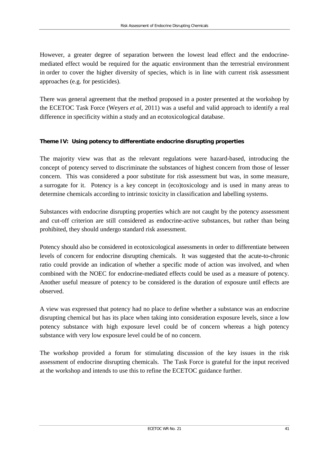However, a greater degree of separation between the lowest lead effect and the endocrinemediated effect would be required for the aquatic environment than the terrestrial environment in order to cover the higher diversity of species, which is in line with current risk assessment approaches (e.g. for pesticides).

There was general agreement that the method proposed in a poster presented at the workshop by the ECETOC Task Force (Weyers *et al*, 2011) was a useful and valid approach to identify a real difference in specificity within a study and an ecotoxicological database.

# **Theme IV: Using potency to differentiate endocrine disrupting properties**

The majority view was that as the relevant regulations were hazard-based, introducing the concept of potency served to discriminate the substances of highest concern from those of lesser concern. This was considered a poor substitute for risk assessment but was, in some measure, a surrogate for it. Potency is a key concept in (eco)toxicology and is used in many areas to determine chemicals according to intrinsic toxicity in classification and labelling systems.

Substances with endocrine disrupting properties which are not caught by the potency assessment and cut-off criterion are still considered as endocrine-active substances, but rather than being prohibited, they should undergo standard risk assessment.

Potency should also be considered in ecotoxicological assessments in order to differentiate between levels of concern for endocrine disrupting chemicals. It was suggested that the acute-to-chronic ratio could provide an indication of whether a specific mode of action was involved, and when combined with the NOEC for endocrine-mediated effects could be used as a measure of potency. Another useful measure of potency to be considered is the duration of exposure until effects are observed.

A view was expressed that potency had no place to define whether a substance was an endocrine disrupting chemical but has its place when taking into consideration exposure levels, since a low potency substance with high exposure level could be of concern whereas a high potency substance with very low exposure level could be of no concern.

The workshop provided a forum for stimulating discussion of the key issues in the risk assessment of endocrine disrupting chemicals. The Task Force is grateful for the input received at the workshop and intends to use this to refine the ECETOC guidance further.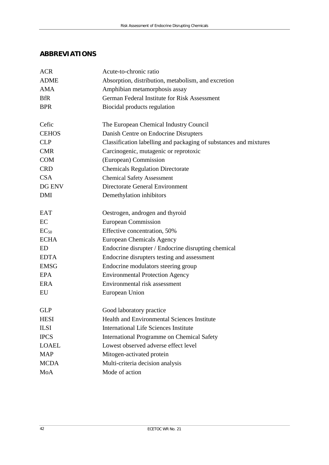# <span id="page-47-0"></span>**ABBREVIATIONS**

| <b>ACR</b>   | Acute-to-chronic ratio                                            |
|--------------|-------------------------------------------------------------------|
| <b>ADME</b>  | Absorption, distribution, metabolism, and excretion               |
| <b>AMA</b>   | Amphibian metamorphosis assay                                     |
| <b>BfR</b>   | German Federal Institute for Risk Assessment                      |
| <b>BPR</b>   | Biocidal products regulation                                      |
|              |                                                                   |
| Cefic        | The European Chemical Industry Council                            |
| <b>CEHOS</b> | Danish Centre on Endocrine Disrupters                             |
| <b>CLP</b>   | Classification labelling and packaging of substances and mixtures |
| <b>CMR</b>   | Carcinogenic, mutagenic or reprotoxic                             |
| <b>COM</b>   | (European) Commission                                             |
| <b>CRD</b>   | <b>Chemicals Regulation Directorate</b>                           |
| <b>CSA</b>   | <b>Chemical Safety Assessment</b>                                 |
| DG ENV       | Directorate General Environment                                   |
| <b>DMI</b>   | Demethylation inhibitors                                          |
| <b>EAT</b>   | Oestrogen, androgen and thyroid                                   |
| EC           | <b>European Commission</b>                                        |
| $EC_{50}$    | Effective concentration, 50%                                      |
| <b>ECHA</b>  | <b>European Chemicals Agency</b>                                  |
| ED           | Endocrine disrupter / Endocrine disrupting chemical               |
| <b>EDTA</b>  | Endocrine disrupters testing and assessment                       |
| <b>EMSG</b>  | Endocrine modulators steering group                               |
| <b>EPA</b>   | <b>Environmental Protection Agency</b>                            |
| <b>ERA</b>   | Environmental risk assessment                                     |
| EU           | European Union                                                    |
| <b>GLP</b>   | Good laboratory practice                                          |
| <b>HESI</b>  | Health and Environmental Sciences Institute                       |
| <b>ILSI</b>  | <b>International Life Sciences Institute</b>                      |
| <b>IPCS</b>  | International Programme on Chemical Safety                        |
| <b>LOAEL</b> | Lowest observed adverse effect level                              |
| <b>MAP</b>   | Mitogen-activated protein                                         |
|              |                                                                   |
| <b>MCDA</b>  | Multi-criteria decision analysis<br>Mode of action                |
| MoA          |                                                                   |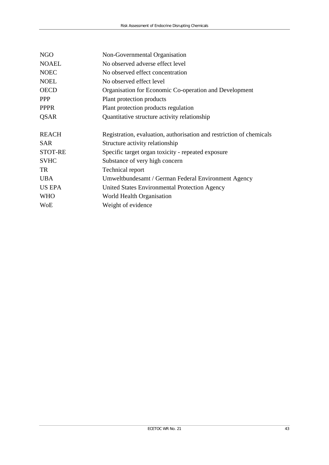| <b>NGO</b>     | Non-Governmental Organisation                                        |
|----------------|----------------------------------------------------------------------|
| <b>NOAEL</b>   | No observed adverse effect level                                     |
| <b>NOEC</b>    | No observed effect concentration                                     |
| <b>NOEL</b>    | No observed effect level                                             |
| <b>OECD</b>    | Organisation for Economic Co-operation and Development               |
| <b>PPP</b>     | Plant protection products                                            |
| <b>PPPR</b>    | Plant protection products regulation                                 |
| <b>QSAR</b>    | Quantitative structure activity relationship                         |
| <b>REACH</b>   | Registration, evaluation, authorisation and restriction of chemicals |
| <b>SAR</b>     | Structure activity relationship                                      |
| <b>STOT-RE</b> | Specific target organ toxicity - repeated exposure                   |
| <b>SVHC</b>    | Substance of very high concern                                       |
| TR             | Technical report                                                     |
| <b>UBA</b>     | Umweltbundesamt / German Federal Environment Agency                  |
| <b>US EPA</b>  | United States Environmental Protection Agency                        |
| <b>WHO</b>     | World Health Organisation                                            |
| WoE            | Weight of evidence                                                   |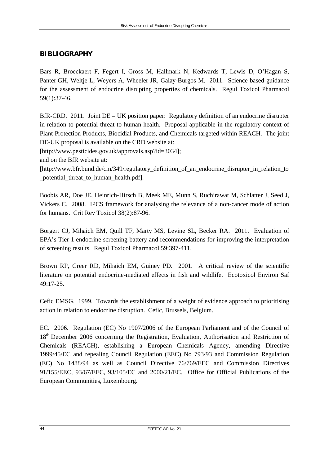# <span id="page-49-0"></span>**BIBLIOGRAPHY**

Bars R, Broeckaert F, Fegert I, Gross M, Hallmark N, Kedwards T, Lewis D, O'Hagan S, Panter GH, Weltje L, Weyers A, Wheeler JR, Galay-Burgos M. 2011. Science based guidance for the assessment of endocrine disrupting properties of chemicals. Regul Toxicol Pharmacol 59(1):37-46.

BfR-CRD. 2011. Joint DE – UK position paper: Regulatory definition of an endocrine disrupter in relation to potential threat to human health. Proposal applicable in the regulatory context of Plant Protection Products, Biocidial Products, and Chemicals targeted within REACH. The joint DE-UK proposal is available on the CRD website at:

[http://www.pesticides.gov.uk/approvals.asp?id=3034];

and on the BfR website at:

[http://www.bfr.bund.de/cm/349/regulatory\_definition\_of\_an\_endocrine\_disrupter\_in\_relation\_to \_potential\_threat\_to\_human\_health.pdf].

Boobis AR, Doe JE, Heinrich-Hirsch B, Meek ME, Munn S, Ruchirawat M, Schlatter J, Seed J, Vickers C. 2008. IPCS framework for analysing the relevance of a non-cancer mode of action for humans. Crit Rev Toxicol 38(2):87-96.

Borgert CJ, Mihaich EM, Quill TF, Marty MS, Levine SL, Becker RA. 2011. Evaluation of EPA's Tier 1 endocrine screening battery and recommendations for improving the interpretation of screening results. Regul Toxicol Pharmacol 59:397-411.

Brown RP, Greer RD, Mihaich EM, Guiney PD. 2001. A critical review of the scientific literature on potential endocrine-mediated effects in fish and wildlife. Ecotoxicol Environ Saf 49:17-25.

Cefic EMSG. 1999. Towards the establishment of a weight of evidence approach to prioritising action in relation to endocrine disruption. Cefic, Brussels, Belgium.

EC. 2006. Regulation (EC) No 1907/2006 of the European Parliament and of the Council of 18<sup>th</sup> December 2006 concerning the Registration, Evaluation, Authorisation and Restriction of Chemicals (REACH), establishing a European Chemicals Agency, amending Directive 1999/45/EC and repealing Council Regulation (EEC) No 793/93 and Commission Regulation (EC) No 1488/94 as well as Council Directive 76/769/EEC and Commission Directives 91/155/EEC, 93/67/EEC, 93/105/EC and 2000/21/EC. Office for Official Publications of the European Communities, Luxembourg.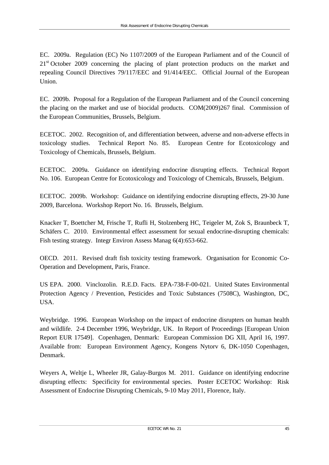EC. 2009a. Regulation (EC) No 1107/2009 of the European Parliament and of the Council of  $21<sup>st</sup>$  October 2009 concerning the placing of plant protection products on the market and repealing Council Directives 79/117/EEC and 91/414/EEC. Official Journal of the European Union.

EC. 2009b. Proposal for a Regulation of the European Parliament and of the Council concerning the placing on the market and use of biocidal products. COM(2009)267 final. Commission of the European Communities, Brussels, Belgium.

ECETOC. 2002. Recognition of, and differentiation between, adverse and non-adverse effects in toxicology studies. Technical Report No. 85. European Centre for Ecotoxicology and Toxicology of Chemicals, Brussels, Belgium.

ECETOC. 2009a. Guidance on identifying endocrine disrupting effects. Technical Report No. 106. European Centre for Ecotoxicology and Toxicology of Chemicals, Brussels, Belgium.

ECETOC. 2009b. Workshop: Guidance on identifying endocrine disrupting effects, 29-30 June 2009, Barcelona. Workshop Report No. 16. Brussels, Belgium.

Knacker T, Boettcher M, Frische T, Rufli H, Stolzenberg HC, Teigeler M, Zok S, Braunbeck T, Schäfers C. 2010. Environmental effect assessment for sexual endocrine-disrupting chemicals: Fish testing strategy. Integr Environ Assess Manag 6(4):653-662.

OECD. 2011. Revised draft fish toxicity testing framework. Organisation for Economic Co-Operation and Development, Paris, France.

US EPA. 2000. Vinclozolin. R.E.D. Facts. EPA-738-F-00-021. United States Environmental Protection Agency / Prevention, Pesticides and Toxic Substances (7508C), Washington, DC, USA.

Weybridge. 1996. European Workshop on the impact of endocrine disrupters on human health and wildlife. 2-4 December 1996, Weybridge, UK. In Report of Proceedings [European Union Report EUR 17549]. Copenhagen, Denmark: European Commission DG XII, April 16, 1997. Available from: European Environment Agency, Kongens Nytorv 6, DK-1050 Copenhagen, Denmark.

Weyers A, Weltje L, Wheeler JR, Galay-Burgos M. 2011. Guidance on identifying endocrine disrupting effects: Specificity for environmental species. Poster ECETOC Workshop: Risk Assessment of Endocrine Disrupting Chemicals, 9-10 May 2011, Florence, Italy.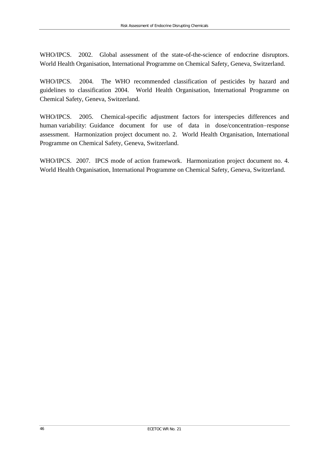WHO/IPCS. 2002. Global assessment of the state-of-the-science of endocrine disruptors. World Health Organisation, International Programme on Chemical Safety, Geneva, Switzerland.

WHO/IPCS. 2004. The WHO recommended classification of pesticides by hazard and guidelines to classification 2004. World Health Organisation, International Programme on Chemical Safety, Geneva, Switzerland.

WHO/IPCS. 2005. Chemical-specific adjustment factors for interspecies differences and human variability: Guidance document for use of data in dose/concentration−response assessment. Harmonization project document no. 2. World Health Organisation, International Programme on Chemical Safety, Geneva, Switzerland.

WHO/IPCS. 2007. IPCS mode of action framework. Harmonization project document no. 4. World Health Organisation, International Programme on Chemical Safety, Geneva, Switzerland.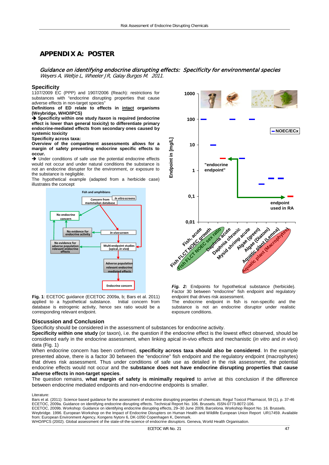# <span id="page-52-0"></span>**APPENDIX A: POSTER**

#### Guidance on identifying endocrine disrupting effects: Specificity for environmental species Weyers A, Weltje L, Wheeler JR, Galay Burgos M. 2011.

#### **Specificity**

1107/2009 EC (PPP) and 1907/2006 (Reach): restrictions for substances with "endocrine disrupting properties that cause adverse effects in non-target species"

**Definitions of ED relate to effects in intact organisms (Weybridge, WHO/IPCS)** 

 **Specificity within one study /taxon is required (endocrine effect is lower than general toxicity) to differentiate primary endocrine-mediated effects from secondary ones caused by systemic toxicity**

**Specificity across taxa:**

**Overview of the compartment assessments allows for a margin of safety preventing endocrine specific effects to occur.** 

 $\rightarrow$  Under conditions of safe use the potential endocrine effects would not occur and under natural conditions the substance is not an endocrine disrupter for the environment, or exposure to the substance is negligible.

The hypothetical example (adapted from a herbicide case) illustrates the concept



**Fig. 1**: ECETOC guidance (ECETOC 2009a, b; Bars et al. 2011) applied to a hypothetical substance. database is estrogenic activity, hence sex ratio would be a corresponding relevant endpoint.



*Fig. 2:* Endpoints for hypothetical substance (herbicide). Factor 30 between "endocrine" fish endpoint and regulatory endpoint that drives risk assessment.

The endocrine endpoint in fish is non-specific and the substance is not an endocrine disruptor under realistic exposure conditions.

#### **Discussion and Conclusion**

Specificity should be considered in the assessment of substances for endocrine activity.

**Specificity within one study** (or taxon), i.e. the question if the endocrine effect is the lowest effect observed, should be considered early in the endocrine assessment, when linking apical in-vivo effects and mechanistic (*in vitro* and *in vivo*) data (Fig. 1)

When endocrine concern has been confirmed, **specificity across taxa should also be considered**. In the example presented above, there is a factor 30 between the "endocrine" fish endpoint and the regulatory endpoint (macrophytes) that drives risk assessment. Thus under conditions of safe use as detailed in the risk assessment, the potential endocrine effects would not occur and the **substance does not have endocrine disrupting properties that cause adverse effects in non-target species**.

The question remains, **what margin of safety is minimally required** to arrive at this conclusion if the difference between endocrine mediated endpoints and non-endocrine endpoints is smaller.

Literature:

Bars et al. (2011): Science based guidance for the assessment of endocrine disrupting properties of chemicals. Regul Toxicol Pharmacol, 59 (1), p. 37-46 ECETOC, 2009a. Guidance on identifying endocrine disrupting effects. Technical Report No. 106. Brussels. ISSN-0773-8072-106.

ECETOC, 2009b. Workshop: Guidance on identifying endocrine disrupting effects, 29–30 June 2009, Barcelona. Workshop Report No. 16. Brussels. Weybridge. 1996. European Workshop on the Impact of Endocrine Disrupters on Human Health and Wildlife European Union Report UR17459. Available from: European Environment Agency, Kongens Nytorv 6, DK-1050 Copenhagen K, Denmark.

WHO/IPCS (2002). Global assessment of the state-of-the-science of endocrine disruptors. Geneva, World Health Organisation.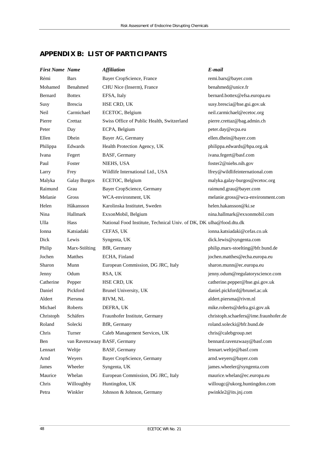# <span id="page-53-0"></span>**APPENDIX B: LIST OF PARTICIPANTS**

| <b>First Name Name</b> |                     | <b>Affiliation</b>                                                  | E-mail                                |
|------------------------|---------------------|---------------------------------------------------------------------|---------------------------------------|
| Rémi                   | <b>Bars</b>         | Bayer CropScience, France                                           | remi.bars@bayer.com                   |
| Mohamed                | Benahmed            | CHU Nice (Inserm), France                                           | benahmed@unice.fr                     |
| Bernard                | <b>Bottex</b>       | EFSA, Italy                                                         | bernard.bottex@efsa.europa.eu         |
| Susy                   | <b>Brescia</b>      | HSE CRD, UK                                                         | susy.brescia@hse.gsi.gov.uk           |
| Neil                   | Carmichael          | ECETOC, Belgium                                                     | neil.carmichael@ecetoc.org            |
| Pierre                 | Crettaz             | Swiss Office of Public Health, Switzerland                          | pierre.crettaz@bag.admin.ch           |
| Peter                  | Day                 | ECPA, Belgium                                                       | peter.day@ecpa.eu                     |
| Ellen                  | Dhein               | Bayer AG, Germany                                                   | ellen.dhein@bayer.com                 |
| Philippa               | Edwards             | Health Protection Agency, UK                                        | philippa.edwards@hpa.org.uk           |
| Ivana                  | Fegert              | BASF, Germany                                                       | ivana.fegert@basf.com                 |
| Paul                   | Foster              | NIEHS, USA                                                          | foster2@niehs.nih.gov                 |
| Larry                  | Frey                | Wildlife International Ltd., USA                                    | lfrey@wildlifeinternational.com       |
| Malyka                 | <b>Galay Burgos</b> | ECETOC, Belgium                                                     | malyka.galay-burgos@ecetoc.org        |
| Raimund                | Grau                | Bayer CropScience, Germany                                          | raimund.grau@bayer.com                |
| Melanie                | Gross               | WCA-environment, UK                                                 | melanie.gross@wca-environment.com     |
| Helen                  | Håkansson           | Karolinska Institutet, Sweden                                       | helen.hakansson@ki.se                 |
| Nina                   | Hallmark            | ExxonMobil, Belgium                                                 | nina.hallmark@exxonmobil.com          |
| Ulla                   | <b>Hass</b>         | National Food Institute, Technical Univ. of DK, DK ulha@food.dtu.dk |                                       |
| Ionna                  | Katsiadaki          | CEFAS, UK                                                           | ionna.katsiadaki@cefas.co.uk          |
| Dick                   | Lewis               | Syngenta, UK                                                        | dick.lewis@syngenta.com               |
| Philip                 | Marx-Stölting       | BfR, Germany                                                        | philip.marx-stoelting@bfr.bund.de     |
| Jochen                 | Matthes             | ECHA, Finland                                                       | jochen.matthes@echa.europa.eu         |
| Sharon                 | Munn                | European Commission, DG JRC, Italy                                  | sharon.munn@ec.europa.eu              |
| Jenny                  | Odum                | RSA, UK                                                             | jenny.odum@regulatoryscience.com      |
| Catherine              | Pepper              | HSE CRD, UK                                                         | catherine.pepper@hse.gsi.gov.uk       |
| Daniel                 | Pickford            | Brunel University, UK                                               | daniel.pickford@brunel.ac.uk          |
| Aldert                 | Piersma             | RIVM, NL                                                            | aldert.piersma@rivm.nl                |
| Michael                | Roberts             | DEFRA, UK                                                           | mike.roberts@defra.gsi.gov.uk         |
| Christoph              | Schäfers            | Fraunhofer Institute, Germany                                       | christoph.schaefers@ime.fraunhofer.de |
| Roland                 | Solecki             | BfR, Germany                                                        | roland.solecki@bfr.bund.de            |
| Chris                  | Turner              | Caleb Management Services, UK                                       | chris@calebgroup.net                  |
| Ben                    |                     | van Ravenzwaay BASF, Germany                                        | bennard.ravenzwaay@basf.com           |
| Lennart                | Weltje              | BASF, Germany                                                       | lennart.weltje@basf.com               |
| Arnd                   | Weyers              | Bayer CropScience, Germany                                          | arnd.weyers@bayer.com                 |
| James                  | Wheeler             | Syngenta, UK                                                        | james.wheeler@syngenta.com            |
| Maurice                | Whelan              | European Commission, DG JRC, Italy                                  | maurice.whelan@ec.europa.eu           |
| Chris                  | Willoughby          | Huntingdon, UK                                                      | willougc@ukorg.huntingdon.com         |
| Petra                  | Winkler             | Johnson & Johnson, Germany                                          | pwinkle2@its.jnj.com                  |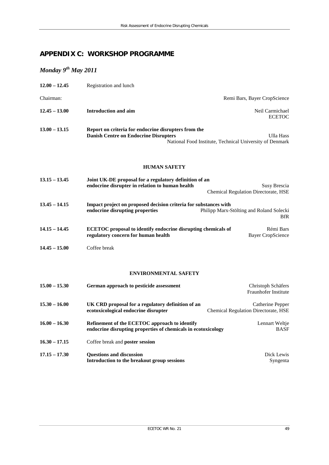# <span id="page-54-0"></span>**APPENDIX C: WORKSHOP PROGRAMME**

# *Monday 9th May 2011*

| 12.00 – 12.45   | Registration and lunch                                                                                                                                                        |                                                                 |  |
|-----------------|-------------------------------------------------------------------------------------------------------------------------------------------------------------------------------|-----------------------------------------------------------------|--|
| Chairman:       |                                                                                                                                                                               | Remi Bars, Bayer CropScience                                    |  |
| $12.45 - 13.00$ | Introduction and aim                                                                                                                                                          | Neil Carmichael<br><b>ECETOC</b>                                |  |
| $13.00 - 13.15$ | Report on criteria for endocrine disrupters from the<br><b>Danish Centre on Endocrine Disrupters</b><br>Ulla Hass<br>National Food Institute, Technical University of Denmark |                                                                 |  |
|                 | <b>HUMAN SAFETY</b>                                                                                                                                                           |                                                                 |  |
| $13.15 - 13.45$ | Joint UK-DE proposal for a regulatory definition of an<br>endocrine disrupter in relation to human health                                                                     | Susy Brescia<br>Chemical Regulation Directorate, HSE            |  |
| $13.45 - 14.15$ | Impact project on proposed decision criteria for substances with<br>endocrine disrupting properties                                                                           | Philipp Marx-Stölting and Roland Solecki<br><b>BfR</b>          |  |
| $14.15 - 14.45$ | ECETOC proposal to identify endocrine disrupting chemicals of<br>regulatory concern for human health                                                                          | Rémi Bars<br><b>Bayer CropScience</b>                           |  |
| $14.45 - 15.00$ | Coffee break                                                                                                                                                                  |                                                                 |  |
|                 | <b>ENVIRONMENTAL SAFETY</b>                                                                                                                                                   |                                                                 |  |
| $15.00 - 15.30$ | German approach to pesticide assessment                                                                                                                                       | Christoph Schäfers<br>Fraunhofer Institute                      |  |
| $15.30 - 16.00$ | UK CRD proposal for a regulatory definition of an<br>ecotoxicological endocrine disrupter                                                                                     | <b>Catherine Pepper</b><br>Chemical Regulation Directorate, HSE |  |
| $16.00 - 16.30$ | Refinement of the ECETOC approach to identify<br>endocrine disrupting properties of chemicals in ecotoxicology                                                                | Lennart Weltje<br><b>BASF</b>                                   |  |
| $16.30 - 17.15$ | Coffee break and poster session                                                                                                                                               |                                                                 |  |
| $17.15 - 17.30$ | <b>Questions and discussion</b><br>Introduction to the breakout group sessions                                                                                                | Dick Lewis<br>Syngenta                                          |  |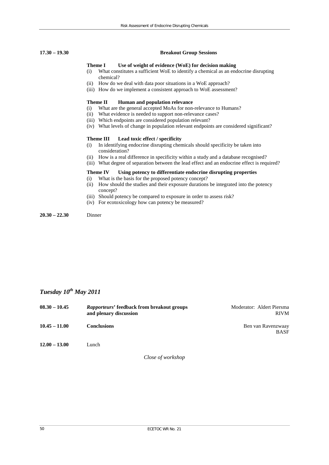#### **17.30 – 19.30 Breakout Group Sessions**

#### **Theme I Use of weight of evidence (WoE) for decision making**

- (i) What constitutes a sufficient WoE to identify a chemical as an endocrine disrupting chemical?
- (ii) How do we deal with data poor situations in a WoE approach?
- (iii) How do we implement a consistent approach to WoE assessment?

#### **Theme II Human and population relevance**

- (i) What are the general accepted MoAs for non-relevance to Humans?
- (ii) What evidence is needed to support non-relevance cases?
- (iii) Which endpoints are considered population relevant?
- (iv) What levels of change in population relevant endpoints are considered significant?

#### **Theme III Lead toxic effect / specificity**

- (i) In identifying endocrine disrupting chemicals should specificity be taken into consideration?
- (ii) How is a real difference in specificity within a study and a database recognised?
- (iii) What degree of separation between the lead effect and an endocrine effect is required?

#### **Theme IV Using potency to differentiate endocrine disrupting properties**

- (i) What is the basis for the proposed potency concept?
- (ii) How should the studies and their exposure durations be integrated into the potency concept?
- (iii) Should potency be compared to exposure in order to assess risk?
- (iv) For ecotoxicology how can potency be measured?

**20.30 – 22.30** Dinner

# *Tuesday 10th May 2011*

| $08.30 - 10.45$ | <i>Rapporteurs'</i> feedback from breakout groups<br>and plenary discussion | Moderator: Aldert Piersma<br><b>RIVM</b> |
|-----------------|-----------------------------------------------------------------------------|------------------------------------------|
| $10.45 - 11.00$ | <b>Conclusions</b>                                                          | Ben van Ravenzwaay<br><b>BASF</b>        |
| $12.00 - 13.00$ | Lunch                                                                       |                                          |

*Close of workshop*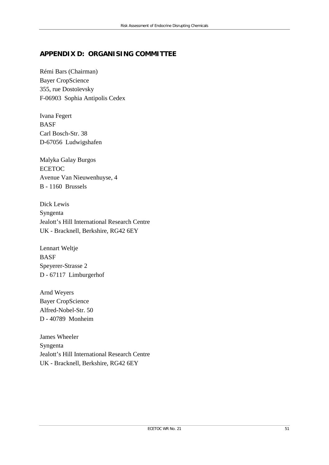# <span id="page-56-0"></span>**APPENDIX D: ORGANISING COMMITTEE**

Rémi Bars (Chairman) Bayer CropScience 355, rue Dostoïevsky F-06903 Sophia Antipolis Cedex

Ivana Fegert BASF Carl Bosch-Str. 38 D-67056 Ludwigshafen

Malyka Galay Burgos ECETOC Avenue Van Nieuwenhuyse, 4 B - 1160 Brussels

Dick Lewis Syngenta Jealott's Hill International Research Centre UK - Bracknell, Berkshire, RG42 6EY

Lennart Weltje BASF Speyerer-Strasse 2 D - 67117 Limburgerhof

Arnd Weyers Bayer CropScience Alfred-Nobel-Str. 50 D - 40789 Monheim

James Wheeler Syngenta Jealott's Hill International Research Centre UK - Bracknell, Berkshire, RG42 6EY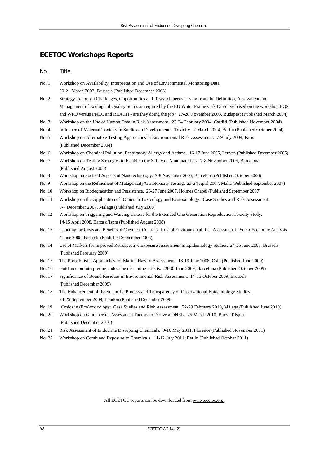# **ECETOC Workshops Reports**

#### No. Title

- No. 1 Workshop on Availability, Interpretation and Use of Environmental Monitoring Data. 20-21 March 2003, Brussels (Published December 2003)
- No. 2 Strategy Report on Challenges, Opportunities and Research needs arising from the Definition, Assessment and Management of Ecological Quality Status as required by the EU Water Framework Directive based on the workshop EQS and WFD versus PNEC and REACH - are they doing the job? 27-28 November 2003, Budapest (Published March 2004)
- No. 3 Workshop on the Use of Human Data in Risk Assessment. 23-24 February 2004, Cardiff (Published November 2004)
- No. 4 Influence of Maternal Toxicity in Studies on Developmental Toxicity. 2 March 2004, Berlin (Published October 2004)
- No. 5 Workshop on Alternative Testing Approaches in Environmental Risk Assessment. 7-9 July 2004, Paris (Published December 2004)
- No. 6 Workshop on Chemical Pollution, Respiratory Allergy and Asthma. 16-17 June 2005, Leuven (Published December 2005)
- No. 7 Workshop on Testing Strategies to Establish the Safety of Nanomaterials. 7-8 November 2005, Barcelona (Published August 2006)
- No. 8 Workshop on Societal Aspects of Nanotechnology. 7-8 November 2005, Barcelona (Published October 2006)
- No. 9 Workshop on the Refinement of Mutagenicity/Genotoxicity Testing. 23-24 April 2007, Malta (Published September 2007)
- No. 10 Workshop on Biodegradation and Persistence. 26-27 June 2007, Holmes Chapel (Published September 2007)
- No. 11 Workshop on the Application of 'Omics in Toxicology and Ecotoxicology: Case Studies and Risk Assessment. 6-7 December 2007, Malaga (Published July 2008)
- No. 12 Workshop on Triggering and Waiving Criteria for the Extended One-Generation Reproduction Toxicity Study. 14-15 April 2008, Barza d'Ispra (Published August 2008)
- No. 13 Counting the Costs and Benefits of Chemical Controls: Role of Environmental Risk Assessment in Socio-Economic Analysis. 4 June 2008, Brussels (Published September 2008)
- No. 14 Use of Markers for Improved Retrospective Exposure Assessment in Epidemiology Studies. 24-25 June 2008, Brussels (Published February 2009)
- No. 15 The Probabilistic Approaches for Marine Hazard Assessment. 18-19 June 2008, Oslo (Published June 2009)
- No. 16 Guidance on interpreting endocrine disrupting effects. 29-30 June 2009, Barcelona (Published October 2009)
- No. 17 Significance of Bound Residues in Environmental Risk Assessment. 14-15 October 2009, Brussels (Published December 2009)
- No. 18 The Enhancement of the Scientific Process and Transparency of Observational Epidemiology Studies. 24-25 September 2009, London (Published December 2009)
- No. 19 'Omics in (Eco)toxicology: Case Studies and Risk Assessment. 22-23 February 2010, Málaga (Published June 2010)
- No. 20 Workshop on Guidance on Assessment Factors to Derive a DNEL. 25 March 2010, Barza d'Ispra (Published December 2010)
- No. 21 Risk Assessment of Endocrine Disrupting Chemicals. 9-10 May 2011, Florence (Published November 2011)
- No. 22 Workshop on Combined Exposure to Chemicals. 11-12 July 2011, Berlin (Published October 2011)

All ECETOC reports can be downloaded from [www.ecetoc.org.](http://www.ecetoc.org/)